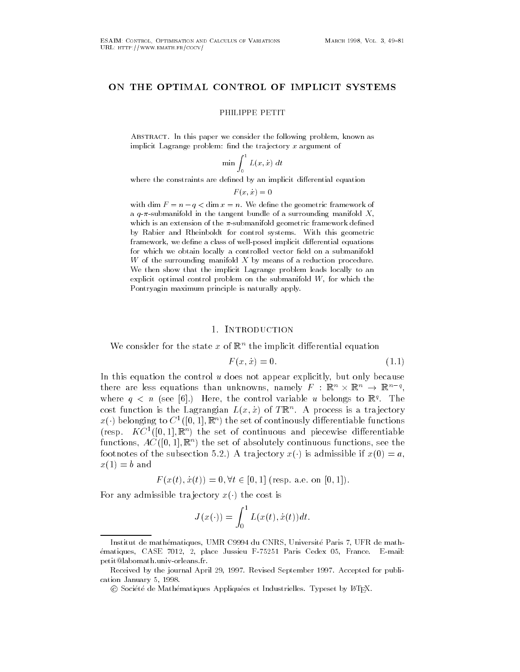# ON THE OPTIMAL CONTROL OF IMPLICIT SYSTEMS

PHILIPPE PETIT

ABSTRACT. In this paper we consider the following problem, known as implicit Lagrange problem: find the trajectory  $x$  argument of

$$
\min \int_0^1 L(x, \dot{x}) \ dt
$$

where the constraints are defined by an implicit differential equation

$$
F(x, \dot{x}) = 0
$$

with dim  $F = n - q < \dim x = n$ . We define the geometric framework of a  $q$ - $\pi$ -submanifold in the tangent bundle of a surrounding manifold X, which is an extension of the  $\pi$ -submanifold geometric framework defined by Rabier and Rheinboldt for control systems With this geometric framework- we denote a class of well-denoted implicit dierential equations of well-denoted implicit dierential for which we obtain locally a controlled vector field on a submanifold W of the surrounding manifold  $X$  by means of a reduction procedure. We then show that the implicit Lagrange problem leads locally to an explicit optimal control problem on the submanifold W-C will be submanifold W-Pontryagin maximum principle is naturally apply

## 1. INTRODUCTION

We consider for the state x of  $\mathbb{R}^n$  the implicit differential equation

$$
F(x, \dot{x}) = 0. \tag{1.1}
$$

In this equation the control u does not appear explicitly but only because there are less equations than unknowns, namely  $F\,:\,\mathbb{R}^n\times\mathbb{R}^n\,\to\,\mathbb{R}^{n-q},$ where  $q \leq u$  (see [0].) Here, the control variable  $u$  belongs to  $\mathbb{R}^n$ . The cost function is the Lagrangian  $L(x, x)$  of  $I\mathbb{R}^n$ . A process is a trajectory  $x(\cdot)$  belonging to  $C^1([0,1],\mathbb{R}^n)$  the set of continously differentiable functions  $\{(\text{resp.} \quad K \cup \{[(0,1)], \mathbb{R}^m]\}$  the set of continuous and piecewise differentiable  ${\rm function} \, {\bf s}, \, {\rm AC} \, (\vert {\bf 0}, 1 \vert, {\bf \mathbb{R}}^+)$  the set of absolutely continuous functions, see the footnotes of the subsection 5.2.) A trajectory  $x(\cdot)$  is admissible if  $x(0) = a$ ,  $x(1) = b$  and

$$
F(x(t), \dot{x}(t)) = 0, \forall t \in [0, 1]
$$
 (resp. a.e. on [0, 1]).

For any admissible trajectory  $x(\cdot)$  the cost is

$$
J(x(\cdot)) = \int_0^1 L(x(t), \dot{x}(t)) dt.
$$

ematiques-de mathematiques, comme solid and content, consideration and comme and mathematic ematiques- en la case de la case de la case de la case de la case de la case de la case de la case de la case petit@labomath.univ-orleans.fr.

Received by the journal April - Revised September Accepted for publi cation January - Andrea January - Andrea January - Andrea January - Andrea January - Andrea January - Andrea J

C Societe de Mathematiques Appliquees et Industrielles. Typeset by ETEA.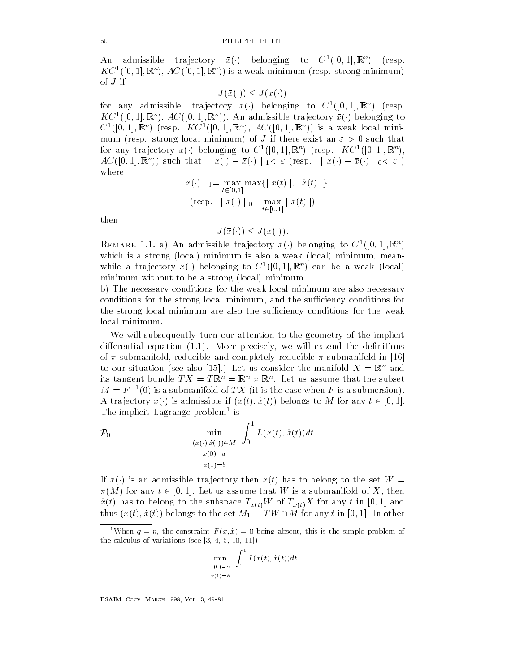An admissible trajectory  $\bar{x}(\cdot)$  belonging to  $C^1([0,1],\mathbb{R}^n)$  (resp.  $K \subset \{ [0,1], \mathbb{R}^{\mathbb{Z}} \}$ ,  $A \cup \{ [0,1], \mathbb{R}^{\mathbb{Z}} \}$  is a weak minimum resp. strong minimum  $[$ of  $J$  if

 $J(\bar{x}(\cdot)) \leq J(x(\cdot))$ 

for any admissible trajectory  $x(\cdot)$  belonging to  $C^1([0,1],\mathbb{R}^n)$  (resp.  $KC^1([0,1], \mathbb{R}^n)$ ,  $AC([0,1], \mathbb{R}^n)$ . An admissible trajectory  $\bar{x}(\cdot)$  belonging to  $C_{\text{L}}([0,1],\mathbb{R})$  (resp.  $K C_{\text{L}}([0,1],\mathbb{R})$ ),  $A C([0,1],\mathbb{R})$  is a weak local minimum (resp. strong local minimum) of J if there exist an  $\varepsilon > 0$  such that for any trajectory  $x(\cdot)$  belonging to  $C^1([0,1],\mathbb{R}^n)$  (resp.  $KC^1([0,1],\mathbb{R}^n)$ ,  $AC([0,1], \mathbb{R}^n)$  such that  $||x(\cdot) - \bar{x}(\cdot)||_1 < \varepsilon$  (resp.  $||x(\cdot) - \bar{x}(\cdot)||_0 < \varepsilon$ ) where

$$
|| x(\cdot) ||_1 = \max_{t \in [0,1]} \max \{ ||x(t) ||, ||\dot{x}(t) || \}
$$
  
(resp. || x(\cdot) ||\_0 = max | x(t) ||)

then

$$
J(\bar{x}(\cdot)) \leq J(x(\cdot)).
$$

REMARK 1.1. a) An admissible trajectory  $x(\cdot)$  belonging to  $C^1([0,1],\mathbb{R}^n)$ which is a strong local minimum is also a weak local minimum is also a weak local minimum is also a weak local minimum is a weak local minimum is a weak local minimum is a weak local minimum is a weak local minimum is a we while a trajectory  $x(\cdot)$  belonging to  $C^1([0,1],\mathbb{R}^n)$  can be a weak (local) minimum without to be a strong (local) minimum.

b) The necessary conditions for the weak local minimum are also necessary  $\mathcal{L}$ the strong local minimum are also the sufficiency conditions for the weak local minimum.

We will subsequently turn our attention to the geometry of the implicit adie erential equation (sis), such a precisely we will extend the denitions of of submanifold  $r$  submanifold in the submanifold in the submanifold in the submanifold in the submanifold in the submanifold in the submanifold in the submanifold in the submanifold in the submanifold in the submanifold i to our situation (see also [15].) Let us consider the manifold  $X = \mathbb{R}^n$  and its tangent bundle  $TX = T\mathbb{R}^n = \mathbb{R}^n \times \mathbb{R}^n$ . Let us assume that the subset  $M = F^{-1}(0)$  is a submanifold of TX (it is the case when F is a submersion). A trajectory  $x(\cdot)$  is admissible if  $(x(t), \dot{x}(t))$  belongs to M for any  $t \in [0, 1]$ . The implicit Lagrange problem is

$$
\mathcal{P}_0 \qquad \min_{\substack{(x(\cdot), x(\cdot)) \in M \\ x(0) = a}} \int_0^1 L(x(t), \dot{x}(t)) dt.
$$

If  $x(\cdot)$  is an admissible trajectory then  $x(t)$  has to belong to the set  $W =$  $\pi(M)$  for any  $t \in [0,1]$ . Let us assume that  $W$  is a submanifold of  $X$ , then  $\lambda$  to be the subspace to the subspace  $\lambda$  for any the subspace  $\lambda$  for any the  $\lambda$  for any total formation  $\lambda$ thus  $(x(t), \dot{x}(t))$  belongs to the set  $M_1 = TW \cap M$  for any t in [0, 1]. In other

$$
\min_{\substack{x(0)=a \\ x(1)=b}} \int_0^1 L(x(t), \dot{x}(t)) dt.
$$

when  $q = n$ , the constraint  $F(x, x) = 0$  being absent, this is the simple problem of the calculus of variations see - and the calculus of variations see - and the calculus of variations of variatio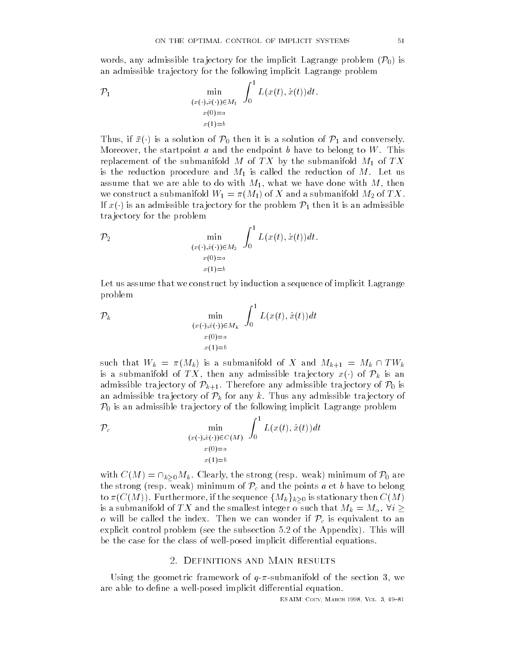words, any admissible trajectory for the implicit Lagrange problem  $(\mathcal{P}_0)$  is an admissible tra jectory for the following implicit Lagrange problem

$$
\mathcal{P}_1 \qquad \min_{\substack{(x(\cdot), \dot{x}(\cdot)) \in M_1 \\ x(0) = a}} \int_0^1 L(x(t), \dot{x}(t)) dt.
$$

Thus, if  $\bar{x}(\cdot)$  is a solution of  $\mathcal{P}_0$  then it is a solution of  $\mathcal{P}_1$  and conversely. Moreover the startpoint a and the endpoint b have to belong to W This replacement of the submanifold  $M$  of  $TX$  by the submanifold  $M_1$  of  $TX$ is the reduction procedure and  $M_1$  is called the reduction of M. Let us assume that we are able to do with  $\mathbf{I}$ we construct a submanifold  $\mathbf{u} = \mathbf{v} \cdot \mathbf{u}$  and a submanifold  $\mathbf{u} = \mathbf{v} \cdot \mathbf{u}$  and a submanifold  $\mathbf{u} = \mathbf{v} \cdot \mathbf{u}$ If  $x(\cdot)$  is an admissible trajectory for the problem  $\mathcal{P}_1$  then it is an admissible tra jectory for the problem

$$
\mathcal{P}_2 \qquad \min_{\substack{(x(\cdot),\dot{x}(\cdot)) \in M_2 \\ x(0)=a \\ x(1)=b}} \int_0^1 L(x(t),\dot{x}(t))dt.
$$

Let us assume that we construct by induction a sequence of implicit Lagrange problem

$$
\mathcal{P}_k \qquad \min_{\substack{(x(\cdot), x(\cdot)) \in M_k \\ x(0) = a}} \int_0^1 L(x(t), \dot{x}(t)) dt
$$

$$
x(1) = b
$$

such that  $W_k = \pi(M_k)$  is a submanifold of X and  $M_{k+1} = M_k \cap TW_k$ is a submanifold of TX, then any admissible trajectory  $x(\cdot)$  of  $\mathcal{P}_k$  is an admissible trajectory of  $\mathcal{P}_{k+1}$ . Therefore any admissible trajectory of  $\mathcal{P}_0$  is an admissible trajectory of  $\mathcal{P}_k$  for any k. Thus any admissible trajectory of  $\mathcal{P}_0$  is an admissible trajectory of the following implicit Lagrange problem

$$
\mathcal{P}_c \qquad \min_{\substack{(x(\cdot), \dot{x}(\cdot)) \in C(M) \\ x(0) = a \\ x(1) = b}} \int_0^1 L(x(t), \dot{x}(t)) dt
$$

with  $C(M) = \cap_{k\geq 0} M_k$ . Clearly, the strong (resp. weak) minimum of  $\mathcal{P}_0$  are the strong (resp. weak) minimum of  $\mathcal{P}_c$  and the points a et b have to belong to  $\pi(C(M)).$  Furthermore, if the sequence  $\{M_k\}_{k\geq 0}$  is stationary then  $C(M)$ is a submanifold of  $TX$  and the smallest integer  $\alpha$  such that  $M_k = M_\alpha, \, \forall i \geq 1$  $\alpha$  will be called the index. Then we can wonder if  $\mathcal{P}_c$  is equivalent to an explicit control problem (see the subsection  $5.2$  of the Appendix). This will be the case for the class of wellposed implicit di-erential equations 

### - Definitions and Main results

 $U$ sing the geometric framework of the section  $\mathcal{U}$ are a well-to deneted in which place in the places in the continued a quation of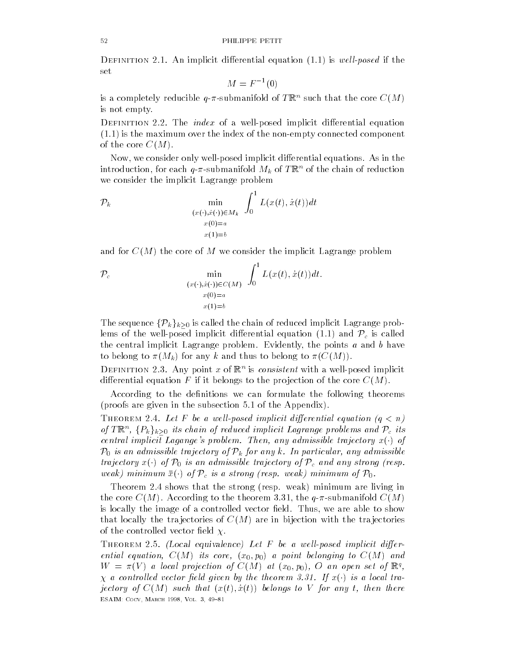$\sim$  21 in its star implicit differential equation  $(1,1)$  is well posed if the set

$$
M = F^{-1}(0)
$$

is a completely reducible  $q$ - $\pi$ -submanifold of TRN such that the core  $C(M)$ is not empty 

Definition - The index of a wellposed implicit di-erential equation  $(1.1)$  is the maximum over the index of the non-empty connected component of the core  $C(M)$ .

Now we consider only wellposed implicit di-erential equations As in the introduction, for each  $q$ - $\pi$ -submanifold  $M_k$  of TR of the chain of reduction we consider the implicit Lagrange problem

$$
\mathcal{P}_k \qquad \min_{\substack{(x(\cdot), \dot{x}(\cdot)) \in M_k \\ x(0) = a}} \int_0^1 L(x(t), \dot{x}(t)) dt
$$

$$
x(1) = b
$$

and for  $C(M)$  the core of M we consider the implicit Lagrange problem

$$
\mathcal{P}_c \qquad \min_{\substack{(x(\cdot), x(\cdot)) \in C(M) \\ x(0) = a \\ x(1) = b}} \int_0^1 L(x(t), \dot{x}(t)) dt.
$$

The sequence  $\{\mathcal{P}_k\}_{k\geq 0}$  is called the chain of reduced implicit Lagrange problems of the well-posed implicit differential equation (1.1) and  $\mathcal{P}_c$  is called the central implicit Lagrange problem in the points and b have points a and b have points a and b have points a and b have points a and b have points a and b have points a and b have points a matrix  $\mathcal{L}(\mathcal{A})$ to belong to  $\pi(M_k)$  for any k and thus to belong to  $\pi(C(M))$ .

DEFINITION 2.5. Any point x of  $\mathbb{R}$  is *consistent* with a well-posed implicit erential equation  $\mathbf{f}$  is belongs to the problem of the problem of the core CM is the core CM is a core CM is the core CM is the core CM is the core CM is the core CM is the core CM is the core CM is the core CM is th

According to the definitions we can formulate the following theorems (proofs are given in the subsection  $5.1$  of the Appendix).

Theorem - Let F be a wel l-posed implicit dierential equation qn of T $\mathbb{R}^n$ ,  $\{P_k\}_{k\geq 0}$  its chain of reduced implicit Lagrange problems and  $\mathcal{P}_c$  its central implicit Lagange's problem. Then, any admissible trajectory  $x(\cdot)$  of  $\mathcal{P}_0$  is an admissible trajectory of  $\mathcal{P}_k$  for any k. In particular, any admissible trajectory  $x(\cdot)$  of  $\mathcal{P}_0$  is an admissible trajectory of  $\mathcal{P}_c$  and any strong (resp. weak) minimum  $\bar{x}(\cdot)$  of  $\mathcal{P}_c$  is a strong (resp. weak) minimum of  $\mathcal{P}_0$ .

Theorem 2.4 shows that the strong (resp. weak) minimum are living in the core CM and  $\alpha$  according to the theorem and  $\alpha$  and  $\alpha$  conditions  $\alpha$  and  $\alpha$ is locally the image of a controlled vector eldows  $\mathcal{N}$  and  $\mathcal{N}$  are able to show the show to show the show that  $\mathcal{N}$ that locally the trajectories of  $C(M)$  are in bijection with the trajectories of the controlled vector field  $\chi$ .

Theorem Tiol (Docal equivalence) Det I volwe well-posed this needs anyone ential ential ential core in the core and the core in the core in the core in the core in the core in the core  $W = \pi(V)$  a local projection of  $C(M)$  at  $(x_0, p_0)$ ,  $C$  an open set of  $\mathbb{R}^n$ ,  $\chi$  a controlled vector field given by the theorem 3.31. If  $x(\cdot)$  is a local trajectory of CM such that xt- x t belongs to V for any t then there ————————————————————————————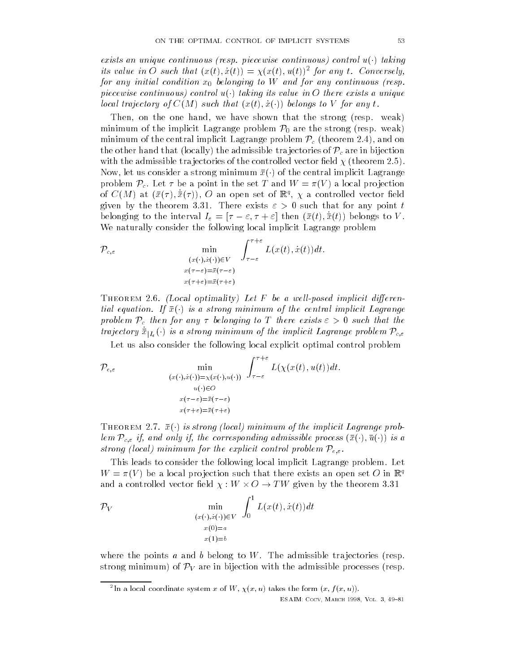exists an unique continuous (resp. piecewise continuous) control  $u(\cdot)$  taking its value in  $\sigma$  such that  $(x(t), x(t)) = \chi(x(t), u(t))$  for any t. Conversely, for any initial condition x- belonging to <sup>W</sup> and for any continuous resp piecewise continuous) control  $u(\cdot)$  taking its value in O there exists a unique local trajectory of  $C(M)$  such that  $(x(t), \dot{x}(\cdot))$  belongs to V for any t.

Then one handle on the one handle strong response that the strong response of the strong response of the strong response of the strong response of the strong response of the strong response of the strong response of the st minimum of the implicit Lagrange problem  $\mathcal{P}_0$  are the strong (resp. weak) minimum of the central implicit Lagrange problem  $\mathcal{P}_c$  (theorem 2.4), and on the other hand that (locally) the admissible trajectories of  $\mathcal{P}_c$  are in bijection with the admissible trajectories of the controlled vector field  $\chi$  (theorem 2.5). Now, let us consider a strong minimum  $\bar{x}(\cdot)$  of the central implicit Lagrange problem  $\mathcal{P}_c$ . Let  $\tau$  be a point in the set T and  $W = \pi(V)$  a local projection of  $C(M)$  at  $(x(7), x(7)), C$  all open set of  $\mathbb{R}^3$ ,  $\chi$  a controlled vector field given by the theorem 3.31. There exists  $\varepsilon > 0$  such that for any point t belonging to the interval  $I_{\varepsilon} = [\tau - \varepsilon, \tau + \varepsilon]$  then  $(\bar{x}(t), \bar{x}(t))$  belongs to V. We naturally consider the following local implicit Lagrange problem

$$
\mathcal{P}_{c,\varepsilon} \qquad \min_{\substack{(x(\cdot),\dot{x}(\cdot)) \in V \\ x(\tau-\varepsilon)=\bar{x}(\tau-\varepsilon) \\ x(\tau+\varepsilon)=\bar{x}(\tau+\varepsilon)}} \int_{\tau-\varepsilon}^{\tau+\varepsilon} L(x(t),\dot{x}(t))dt.
$$

Theorem 
- Local optimality- Let F be a wel l-posed implicit dierential equation. If  $\bar{x}(\cdot)$  is a strong minimum of the central implicit Lagrange problem  $\mathcal{P}_c$  then for any  $\tau$  belonging to T there exists  $\varepsilon > 0$  such that the trajectory  $\dot{\bar{x}}_{|I_{\varepsilon}}(\cdot)$  is a strong minimum of the implicit Lagrange problem  $\mathcal{P}_{c,\varepsilon}$ 

Let us also consider the following local explicit optimal control problem

$$
\mathcal{P}_{\varepsilon,\varepsilon} \qquad \min_{\substack{(x(\cdot),\dot{x}(\cdot)) = \chi(x(\cdot),u(\cdot)) \\ u(\cdot) \in O \\ x(\tau-\varepsilon) = \bar{x}(\tau-\varepsilon) \\ x(\tau+\varepsilon) = \bar{x}(\tau+\varepsilon)}} \int_{\tau-\varepsilon}^{\tau+\varepsilon} L(\chi(x(t),u(t))dt).
$$

THEOREM 2.7.  $\bar{x}(\cdot)$  is strong (local) minimum of the implicit Lagrange problem  $\mathcal{P}_{c,\varepsilon}$  if, and only if, the corresponding admissible process  $(\bar{x}(\cdot), \bar{u}(\cdot))$  is a strong (local) minimum for the explicit control problem  $\mathcal{P}_{e,\varepsilon}$ .

This leads to consider the following local implicit Lagrange problem. Let  $W = \pi(V)$  be a local projection such that there exists an open set  $O$  in  $\mathbb{R}^q$ and a controlled vector field  $\chi: W \times O \rightarrow TW$  given by the theorem 3.31

$$
\mathcal{P}_V \qquad \min_{\substack{(x(\cdot), \dot{x}(\cdot)) \in V \\ x(0) = a \\ x(1) = b}} \int_0^1 L(x(t), \dot{x}(t)) dt
$$

where the points a and b belong to W. The admissible trajectories (resp. strong minimum) of  $\mathcal{P}_V$  are in bijection with the admissible processes (resp.

In a local coordinate system x of W,  $\chi(x, u)$  takes the form  $(x, f(x, u))$ .

ESAIM- Cocv March Vol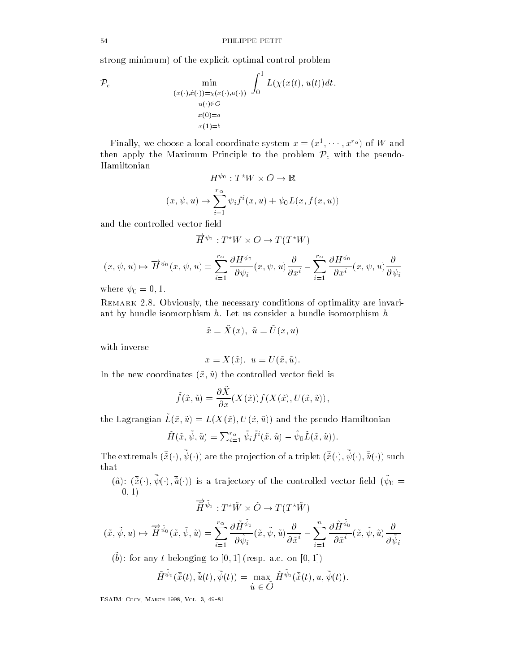strong minimum) of the explicit optimal control problem

$$
\mathcal{P}_e \qquad \min_{\substack{(x(\cdot), \dot{x}(\cdot)) = \chi(x(\cdot), u(\cdot)) \\ u(\cdot) \in O \\ x(0) = a \\ x(1) = b}} \int_0^1 L(\chi(x(t), u(t)) dt).
$$

Finally, we choose a local coordinate system  $x = (x^1, \dots, x^{r_{\alpha}})$  of W and then apply the Maximum Principle to the problem  $\mathcal{P}_e$  with the pseudo-Hamiltonian

$$
H^{\psi_0}: T^*W \times O \to \mathbb{R}
$$
  

$$
(x, \psi, u) \mapsto \sum_{i=1}^{r_{\alpha}} \psi_i f^i(x, u) + \psi_0 L(x, f(x, u))
$$

and the controlled vector field

$$
\overrightarrow{H}^{\psi_0}: T^*W \times O \to T(T^*W)
$$

$$
(x,\psi,u)\mapsto \overrightarrow{H}^{\psi_0}(x,\psi,u)=\sum_{i=1}^{r_\alpha}\frac{\partial H^{\psi_0}}{\partial \psi_i}(x,\psi,u)\frac{\partial}{\partial x^i}-\sum_{i=1}^{r_\alpha}\frac{\partial H^{\psi_0}}{\partial x^i}(x,\psi,u)\frac{\partial}{\partial \psi_i}
$$

where  $\mathbf{v} = \mathbf{v}$  and  $\mathbf{v} = \mathbf{v}$ 

 $R$ emirki  $\blacksquare$  to  $\blacksquare$  obviously the necessary conditions of optimality are invariant by bundle isomorphism  $h$ . Let us consider a bundle isomorphism  $h$ 

$$
\tilde{x} = X(x), \ \tilde{u} = U(x, u)
$$

with inverse

$$
x = X(\tilde{x}), u = U(\tilde{x}, \tilde{u}).
$$

In the new coordinates x- u the controlled vector eld is

$$
\tilde{f}(\tilde{x}, \tilde{u}) = \frac{\partial \tilde{X}}{\partial x}(X(\tilde{x})) f(X(\tilde{x}), U(\tilde{x}, \tilde{u})),
$$

 $u$  and  $u$  and  $u(x, u) = u(x, u)$ ,  $u(x, u)$  and the pseudo-Hamiltonian

$$
\tilde{H}(\tilde{x},\tilde{\psi},\tilde{u}) = \sum_{i=1}^{r_{\alpha}} \tilde{\psi}_i \tilde{f}^i(\tilde{x},\tilde{u}) - \tilde{\psi}_0 \tilde{L}(\tilde{x},\tilde{u})).
$$

The extremals  $(\tilde{x}(\cdot), \psi(\cdot))$  are the projection of a triplet  $(\tilde{x}(\cdot), \psi(\cdot), \tilde{u}(\cdot))$  such

 $(\tilde{a})\colon (\tilde{x}(\cdot),\psi(\cdot),\tilde{u}(\cdot))$  is a trajectory of the controlled vector field  $(\psi_0=1)$ -

$$
\overrightarrow{\tilde{H}}^{\tilde{\psi}_0}:T^{\star}\tilde{W}\times\tilde{O}\to T(T^{\star}\tilde{W})
$$

$$
(\tilde{x}, \tilde{\psi}, u) \mapsto \overrightarrow{\tilde{H}}^{\tilde{\psi}_0}(\tilde{x}, \tilde{\psi}, \tilde{u}) = \sum_{i=1}^{r_{\alpha}} \frac{\partial \tilde{H}^{\tilde{\psi}_0}}{\partial \tilde{\psi}_i}(\tilde{x}, \tilde{\psi}, \tilde{u}) \frac{\partial}{\partial \tilde{x}^i} - \sum_{i=1}^{n} \frac{\partial \tilde{H}^{\tilde{\psi}_0}}{\partial \tilde{x}^i}(\tilde{x}, \tilde{\psi}, \tilde{u}) \frac{\partial}{\partial \tilde{\psi}_i}
$$

(*v*). For any *t* belonging to  $\vert v, 1 \vert$  (resp. a.e. on  $\vert v, 1 \vert$ )

$$
\tilde{H}^{\tilde{\psi}_0}(\bar{\tilde{x}}(t),\bar{\tilde{u}}(t),\bar{\tilde{\psi}}(t))=\max_{\tilde{u}\ \in \ \tilde{O}}\tilde{H}^{\tilde{\psi}_0}(\bar{\tilde{x}}(t),u,\bar{\tilde{\psi}}(t)).
$$

————————————————————————————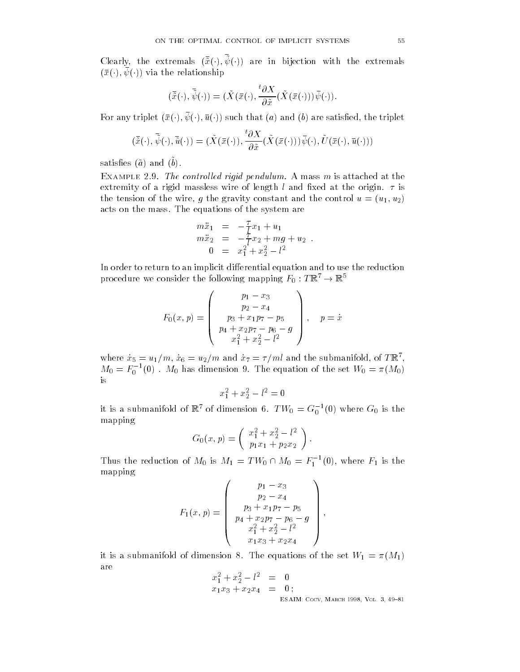Clearly, the extremals  $(\tilde{x}(\cdot), \psi(\cdot))$  are in bijection with the extremals  $(\bar{x}(\cdot), \psi(\cdot))$  via the relationship

$$
(\bar{\tilde{x}}(\cdot),\bar{\tilde{\psi}}(\cdot))=(\tilde{X}(\bar{x}(\cdot),\frac{^t\partial X}{\partial \tilde{x}}(\tilde{X}(\bar{x}(\cdot)))\bar{\psi}(\cdot)).
$$

For any triplet  $(\bar{x}(\cdot), \psi(\cdot), \bar{u}(\cdot))$  such that  $(a)$  and  $(b)$  are satisfied, the triplet

$$
(\bar{\tilde{x}}(\cdot),\bar{\tilde{\psi}}(\cdot),\bar{\tilde{u}}(\cdot))=(\tilde{X}(\bar{x}(\cdot)),\frac{\partial X}{\partial \tilde{x}}(\tilde{X}(\bar{x}(\cdot)))\bar{\psi}(\cdot),\tilde{U}(\bar{x}(\cdot),\bar{u}(\cdot)))
$$

 $\mathfrak{sou}$ bishto ( $\mathfrak{u}$ ) and ( $\mathfrak{v}$ ).

Extreme Eight The controlled right pendulum A mass m is attached at the extremely of a rigid mass wire of length l and  $\alpha$  rigid massless wire original  $\alpha$ the tension of the wire wireless wireless with an and the control unit and the control unit and the control unit and the control unit and the control unit and the control unit and the control unit and the control unit and acts on the mass. The equations of the system are

$$
m\ddot{x}_1 = -\frac{\tau}{l}x_1 + u_1 \nm\ddot{x}_2 = -\frac{\tau}{l}x_2 + mg + u_2 \n0 = x_1^2 + x_2^2 - l^2
$$

In order to return to an implicit di-erential equation and to use the reduction procedure we consider the following mapping  $F_0: T\mathbb{R}^7 \rightarrow \mathbb{R}^5$ 

$$
F_0(x,p) = \begin{pmatrix} p_1 - x_3 \\ p_2 - x_4 \\ p_3 + x_1p_7 - p_5 \\ p_4 + x_2p_7 - p_6 - g \\ x_1^2 + x_2^2 - l^2 \end{pmatrix}, \quad p = \dot{x}
$$

where  $x_5 = u_1/m$ ,  $x_6 = u_2/m$  and  $x_7 = i/m$  and the submanifold, of TR,  $M_0 = F_0^{-1}(0)$ .  $M_0$  has dimension 9. The equation of the set  $W_0 = \pi(M_0)$ 

$$
x_1^2 + x_2^2 - l^2 = 0
$$

it is a submanifold of  $\mathbb{R}^n$  of dimension 6.  $TW_0 = G_0^{-1}(0)$  where  $G_0$  is the mapping

$$
G_0(x,p) = \left(\begin{array}{c} x_1^2 + x_2^2 - l^2 \\ p_1 x_1 + p_2 x_2 \end{array}\right).
$$

Thus the reduction of  $M_0$  is  $M_1 = TW_0 \cap M_0 = F_1^{-1}(0)$ , where  $F_1$  is the mapping

$$
F_1(x,p) = \begin{pmatrix} p_1 - x_3 \\ p_2 - x_4 \\ p_3 + x_1p_7 - p_5 \\ p_4 + x_2p_7 - p_6 - g \\ x_1^2 + x_2^2 - l^2 \\ x_1x_3 + x_2x_4 \end{pmatrix},
$$

it is a submanifold of dimension 8. The equations of the set  $W_1 = \pi(M_1)$ are

$$
x_1^2 + x_2^2 - l^2 = 0
$$
  

$$
x_1x_3 + x_2x_4 = 0;
$$

ESAIM- Cocv March Vol 

 $\mathbf{v}$  and  $\mathbf{v}$  and  $\mathbf{v}$  and  $\mathbf{v}$  and  $\mathbf{v}$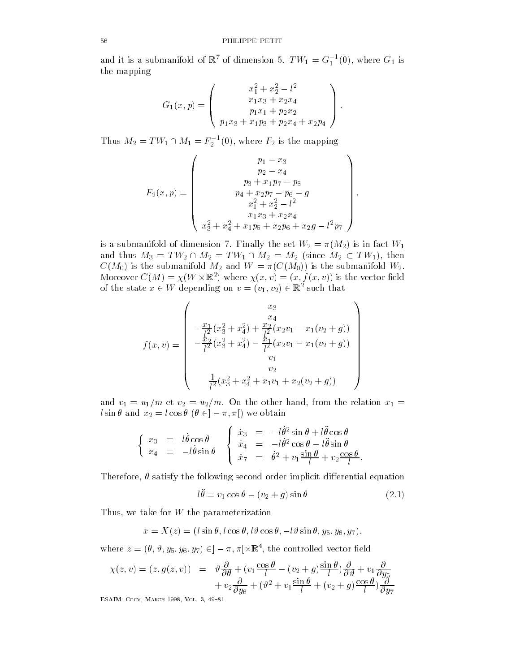and it is a submanifold of  $\mathbb{R}^e$  of dimension 5.  $TW_1 = G_1^{-1}(0)$ , where  $G_1$  is the mapping

$$
G_1(x,p) = \begin{pmatrix} x_1^2 + x_2^2 - l^2 \\ x_1x_3 + x_2x_4 \\ p_1x_1 + p_2x_2 \\ p_1x_3 + x_1p_3 + p_2x_4 + x_2p_4 \end{pmatrix}.
$$

Thus  $M_2=TW_1\cap M_1=F_2^{-1}(0),$  where  $F_2$  is the mapping

$$
F_2(x,p) = \begin{pmatrix} p_1 - x_3 \\ p_2 - x_4 \\ p_3 + x_1p_7 - p_5 \\ p_4 + x_2p_7 - p_6 - g \\ x_1^2 + x_2^2 - l^2 \\ x_1x_3 + x_2x_4 \\ x_3^2 + x_4^2 + x_1p_5 + x_2p_6 + x_2g - l^2p_7 \end{pmatrix},
$$

is a submanifold of dimension of dimension  $\mathcal{F}^{\text{max}}$  and  $\mathcal{F}^{\text{max}}$  and  $\mathcal{F}^{\text{max}}$  and  $\mathcal{F}^{\text{max}}$ and thus  $M_3 = TW_2 \cap M_2 = TW_1 \cap M_2 = M_2$  (since  $M_2 \subset TW_1$ ), then CM- is the submanifold M and <sup>W</sup> CM- is the submanifold W Moreover  $C(M) = \chi(W \times \mathbb{R}^2)$  where  $\chi(x, v) = (x, f(x, v))$  is the vector field of the state  $x \in W$  depending on  $v = (v_1, v_2) \in \mathbb{R}^2$  such that

$$
f(x,v) = \begin{pmatrix} x_3 \\ x_4 \\ -\frac{x_1}{l^2}(x_3^2 + x_4^2) + \frac{x_2}{l^2}(x_2v_1 - x_1(v_2 + g)) \\ -\frac{x_2}{l^2}(x_3^2 + x_4^2) - \frac{x_1}{l^2}(x_2v_1 - x_1(v_2 + g)) \\ v_1 \\ v_2 \\ \frac{1}{l^2}(x_3^2 + x_4^2 + x_1v_1 + x_2(v_2 + g)) \end{pmatrix}
$$

and v  $\mathbf{u}$  , which is related to the relation  $\mathbf{u}$  and  $\mathbf{u}$  are relation  $\mathbf{u}$  . The relation  $\mathbf{u}$  $l\sin\theta$  and  $x_2=l\cos\theta$   $(\theta \in ]-\pi,\pi[)$  we obtain

$$
\begin{cases}\n x_3 = l\dot{\theta}\cos\theta \\
 x_4 = -l\dot{\theta}\sin\theta\n\end{cases}\n\begin{cases}\n \dot{x}_3 = -l\dot{\theta}^2\sin\theta + l\ddot{\theta}\cos\theta \\
 \dot{x}_4 = -l\dot{\theta}^2\cos\theta - l\ddot{\theta}\sin\theta \\
 \dot{x}_7 = \dot{\theta}^2 + v_1\frac{\sin\theta}{l} + v_2\frac{\cos\theta}{l}.\n\end{cases}
$$

Therefore satisfy the following second order implicit di-erential equation

$$
l\ddot{\theta} = v_1 \cos \theta - (v_2 + g) \sin \theta \tag{2.1}
$$

<u>x we take for which the parameterization</u>

 $\ddot{\phantom{a}}$ 

$$
x = X(z) = (l \sin \theta, l \cos \theta, l \theta \cos \theta, -l \theta \sin \theta, y_5, y_6, y_7),
$$

where  $z=(\theta,\vartheta,y_5,y_6,y_7)\in ]-\pi,\pi[\times\mathbb{R}^4,$  the controlled vector field

$$
\chi(z,v) = (z,g(z,v)) = \vartheta \frac{\partial}{\partial \theta} + (v_1 \frac{\cos \theta}{l} - (v_2 + g) \frac{\sin \theta}{l}) \frac{\partial}{\partial \theta} + v_1 \frac{\partial}{\partial y_5} + v_2 \frac{\partial}{\partial y_6} + (\vartheta^2 + v_1 \frac{\sin \theta}{l} + (v_2 + g) \frac{\cos \theta}{l}) \frac{\partial}{\partial y_7}
$$

————————————————————————————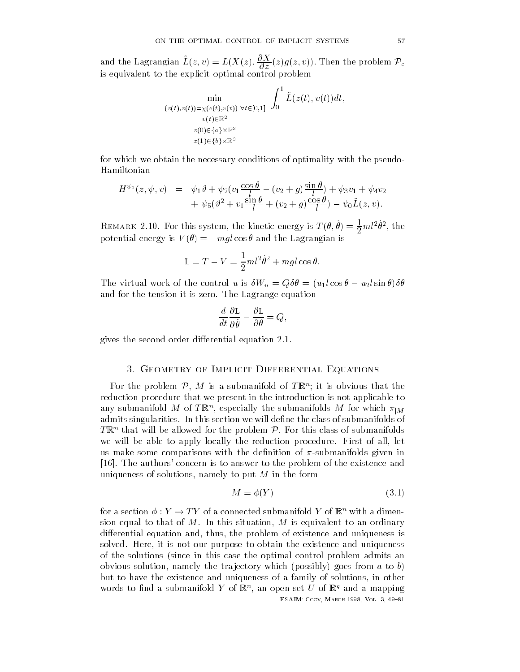and the Lagrangian  $L(z,v) = L(X(z), \frac{\partial \Lambda}{\partial z}(z) g(z,v))$ . Then the problem  $\mathcal{P}_c$ is equivalent to the explicit optimal control problem

$$
\min_{\substack{(z(t),\dot{z}(t))=\chi(z(t),v(t)) \ \forall t\in[0,1]}} \int_0^1 \tilde{L}(z(t),v(t))dt,
$$
  
\n
$$
\lim_{\substack{v(t)\in\mathbb{R}^2\\z(0)\in\{a\}\times\mathbb{R}^3\\z(1)\in\{b\}\times\mathbb{R}^3}}
$$

for which we obtain the necessary conditions of optimality with the pseudo Hamiltonian

$$
H^{\psi_0}(z, \psi, v) = \psi_1 \vartheta + \psi_2 (v_1 \frac{\cos \theta}{l} - (v_2 + g) \frac{\sin \theta}{l}) + \psi_3 v_1 + \psi_4 v_2 + \psi_5 (\vartheta^2 + v_1 \frac{\sin \theta}{l} + (v_2 + g) \frac{\cos \theta}{l}) - \psi_0 \tilde{L}(z, v).
$$

REMARK 2.10. For this system, the kinetic energy is  $T(\sigma, \sigma) = \frac{1}{2} m \sigma$ , the potential energy is  $V(\theta) = -mgl\cos\theta$  and the Lagrangian is

$$
L = T - V = \frac{1}{2}ml^2\dot{\theta}^2 + mgl\cos\theta.
$$

The virtual work of the control u is  $\delta W_u = Q \delta \theta = (u_1 l \cos \theta - u_2 l \sin \theta) \delta \theta$ and for the tension it is zero. The Lagrange equation

$$
\frac{d}{dt}\frac{\partial \mathcal{L}}{\partial \dot{\theta}} - \frac{\partial \mathcal{L}}{\partial \theta} = Q,
$$

gives the second order di-erential equation 

## - Geometry of Implicit Differential Equations

For the problem  $P, M$  is a submanifold of  $T\mathbb{R}^n$ ; it is obvious that the reduction procedure that we present in the introduction is not applicable to any submanifold M of TR), especially the submanifolds M for which  $\pi_{|M}$ admits singularities. In this section we will define the class of submanifolds of  $T\mathbb{R}^n$  that will be allowed for the problem P. For this class of submanifolds we were all been to apply locally the reduction procedure. Fines are may the us make some comparisons with the definition of  $\pi$ -submanifolds given in [16]. The authors' concern is to answer to the problem of the existence and uniqueness of solutions of solutions of solutions of solutions of solutions of solutions of the form of the fo

$$
M = \phi(Y) \tag{3.1}
$$

ESAIM- Cocv March Vol 

for a section  $\phi: Y \to TY$  of a connected submanifold  $Y$  of  $\mathbb{R}^n$  with a dimension equal to that of M is equal to the M in this situation of M is equal to an ordinary equivalent to an ordinary adition that equation and uniqueness is existence and uniqueless in the problem of  $\mathcal{L}_{\mathcal{A}}$ solved and the state of the existence of the existence and uniqueness the existence and uniquently and unit of the solutions (since in this case the optimal control problem admits an obvious solution, the transpossibly which possibly goes from a to by but to have the existence and uniqueness of a family of solutions in other words to find a submanifold  $Y$  of  $\mathbb{R}^n$ , an open set  $U$  of  $\mathbb{R}^n$  and a mapping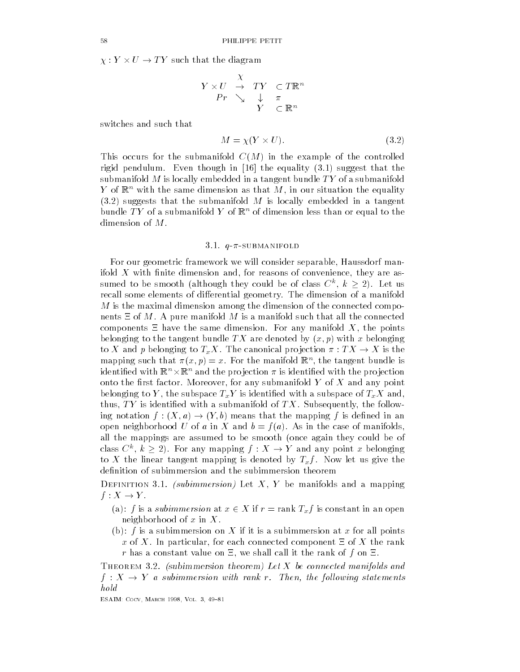$\chi:Y\times U\to TY$  such that the diagram

$$
\begin{array}{ccc}\nY \times U & \stackrel{\chi}{\to} & TY & \subset T\mathbb{R}^n \\
\hline\nPr & \searrow & \downarrow & \pi \\
Y & \subset \mathbb{R}^n\n\end{array}
$$

switches and such that

$$
M = \chi(Y \times U). \tag{3.2}
$$

This occurs for the submanifold  $C(M)$  in the example of the controlled rigid pendulum. Even though in [16] the equality  $(3.1)$  suggest that the submanifold M is locally embedded in a tangent bundle  $TY$  of a submanifold  $\overline{T}$  of  $\mathbb{R}^n$  with the same dimension as that  $M$ , in our situation the equality  $(3.2)$  suggests that the submanifold M is locally embedded in a tangent bundle TY of a submanifold Y of  $\mathbb{R}^n$  of dimension less than or equal to the dimension of  $M$ .

## 3.1.  $q-\pi$ -SUBMANIFOLD

For our geometric framework we will consider separable Haussdorf man ifold  $\alpha$  with nite dimension and  $\alpha$  with nite dimension and  $\alpha$  reasons of convenience  $\alpha$ sumed to be smooth (although they could be of class  $C^k$ ,  $k \ge 2$ ). Let us recall some elements of di-erential geometry The dimension of a manifold  $M$  is the maximal dimension among the dimension of the connected components  $\Xi$  of  $M.$  A pure manifold  $M$  is a manifold such that all the connected components in the same dimension of any manifold  $\mathcal{A}$  and  $\mathcal{A}$  and  $\mathcal{A}$  and  $\mathcal{A}$  and  $\mathcal{A}$ belonging to the tangent bundle TX are denoted by x- p with x belonging to X and p belonging to  $T_xX$ . The canonical projection  $\pi : TX \to X$  is the mapping such that  $\pi(x, p) = x$ . For the manifold  $\mathbb{R}^n$ , the tangent bundle is identified with  $\mathbb{R}^n \times \mathbb{R}^n$  and the projection  $\pi$  is identified with the projection onto the rst factor  $\mathcal{M}$  and any submanifold Y of X and any point  $\mathcal{M}$  and any point  $\mathcal{M}$  and any point  $\mathcal{M}$ belonging to Y the subspace TxY is identied with a subspace of TxX and  $\mathbf T$  is identically the following with a subsequently  $\mathbf T$  is identically the following  $\mathbf T$ ing notation  $f: (X, a) \to (Y, b)$  means that the mapping f is defined in an open neighborhood U of a in X and  $b = f(a)$ . As in the case of manifolds, all the mappings are assumed to be smooth (once again they could be of class  $C^k$ ,  $k \geq 2$ ). For any mapping  $f: X \rightarrow Y$  and any point x belonging to X the linear tangent mapping is denoted by  $T_x f$ . Now let us give the definition of subimmersion and the subimmersion theorem

b bimition give passimile stemp between the securities and a mapping  $f: X \to Y$ .

(a):  $f$  is a subimmersion at  $x \in X$  if  $r = \text{rank } T_x f$  is constant in an open neighborhood of  $x$  in  $X.$ 

(b):  $f$  is a subimmersion on  $X$  if it is a subimmersion at  $x$  for all points , as each connected component in the rank component in the rank of  $\mathcal{X}$ r has a constant value on we shall call it the rank of f on 

**Theorem Gist** (pa*bilities constant and corporate and connected manifolder and and*  $f: X \to Y$  a subimmersion with rank r. Then, the following statements

————————————————————————————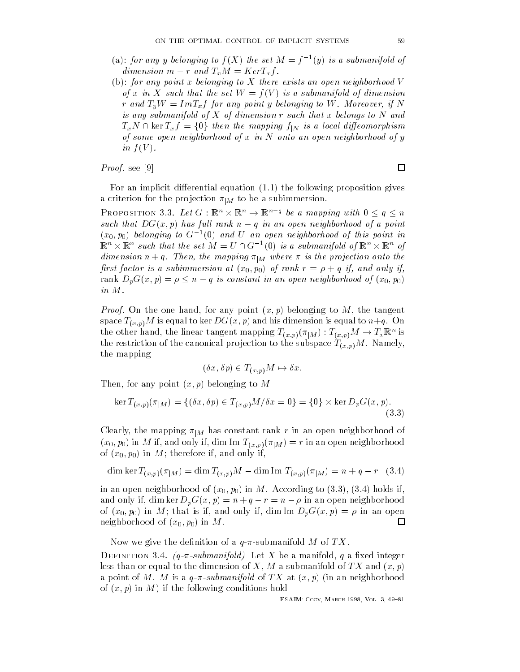- (a): for any y belonging to  $f(X)$  the set  $M = f^{-1}(y)$  is a submanifold of dimension  $m - r$  and  $T_xM = Ker T_xf$ .
- (b): for any point x belonging to X there exists an open neighborhood V of x in X such that the set  $W = f(V)$  is a submanifold of dimension r and  $T_uW = ImT_xf$  for any point y belonging to W. Moreover, if N is any submanifold of  $X$  of dimension r such that x belongs to  $N$  and  $T_xN \cap \ker T_xf = \{0\}$  then the mapping  $f_{|N}$  is a local diffeomorphism of some open neighborhood of x in N onto an open neighborhood of y in  $f(V)$ .

# *Proof.* see  $[9]$

For an implicit di-erential equation the following proposition gives a criterion for the projection  $\pi_{|M}$  to be a subimmersion.

PROPOSITION 3.3. Let  $G: \mathbb{R}^n \times \mathbb{R}^n \to \mathbb{R}^{n-q}$  be a mapping with  $0 \le q \le n$ such that  $DG(x, p)$  has full rank  $n - q$  in an open neighborhood of a point  $(x_0, p_0)$  belonging to  $G^{-1}(0)$  and U an open neighborhood of this point in  $\mathbb{R}^n\times\mathbb{R}^n$  such that the set  $M=U\cap G^{-1}(0)$  is a submanifold of  $\mathbb{R}^n\times\mathbb{R}^n$  of dimension  $n + q$ . Then, the mapping  $\pi_{|M}$  where  $\pi$  is the projection onto the rst factor is a subject of the subject of the subject of the subject of the subject of the subject of the subj rank  $D_pG(x,p) = \rho \leq n-q$  is constant in an open neighborhood of  $(x_0,p_0)$ in M

Proof On the one hand for any point x- p belonging to M the tangent space Tx-p<sup>M</sup> is equal to ker DGx- p and his dimension is equal to nq On the other hand, the linear tangent mapping  $T_{(x,p)}(\pi_{|M}): T_{(x,p)}M \rightarrow T_x \mathbb{R}^n$  is the restriction of the canonical problem of the subspace  $\Gamma$  and  $\Gamma$  is the subspace Tx-1 and  $\Gamma$ the mapping

$$
(\delta x, \delta p) \in T_{(x,p)}M \mapsto \delta x.
$$

Then for any point x- p belonging to M

en, for any point 
$$
(x, p)
$$
 belonging to  $M$   
ker  $T_{(x,p)}(\pi_{|M}) = \{(\delta x, \delta p) \in T_{(x,p)}M/\delta x = 0\} = \{0\} \times \text{ker } D_p G(x, p).$  (3.3)

Clearly, the mapping  $\pi|_M$  has constant rank  $r$  in an open neighborhood of  $(x_0, p_0)$  in M ii, and only ii, dim Im  $I_{(x,p)}(\pi|M) = r$  in an open neighborhood of x-- p- in M therefore if and only if

dim ker 
$$
T_{(x,p)}(\pi|M)
$$
 = dim  $T_{(x,p)}M$  - dim Im  $T_{(x,p)}(\pi|M) = n + q - r$  (3.4)

in an open neighborhood of  $\alpha$  in  $\alpha$  is a cording to  $\alpha$ and only if, dim ker  $D_pG(x, p) = n + q - r = n - \rho$  in an open neighborhood of x-- p- in M that is if and only if dim Im DpGx- p in an open  $\Box$ neighborhood of the state of the state of the state of the state of the state of the state of the state of the

Now we give the definition of a  $q$ - $\pi$ -submanifold M of TX.

 $D$  in the definition  $Q$  are a constructed and  $Q$  and  $Q$  and  $Q$  are a manifold of  $Q$  and  $Q$  integers and  $Q$ less than or equal to the dimension of II and a submanifold of II and the Manifold of T a point of M is a quantity of M is a quantity of  $\mathcal{M}$  and  $\mathcal{M}$  and  $\mathcal{M}$ of in the following conditions in  $\mathcal{A}$  is the following conditions in the following conditions in the following conditions of the following conditions of the following conditions of the following conditions of the foll

 $\Box$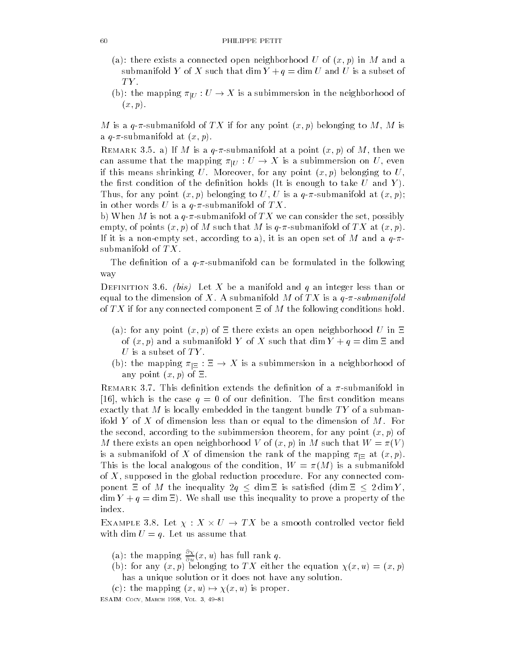- a there exists a connected open neighborhood U of x- p in M and a submanifold Y of X such that dim  $Y + q = \dim U$  and U is a subset of TY.
- (b): the mapping  $\pi_{|U}: U \to X$  is a subimmersion in the neighborhood of  $\cdots$

M is a qsubmanifold of TX if for any point x- p belonging to M M is a quantitative at  $\mathbf{v}$  at  $\mathbf{v}$  at  $\mathbf{v}$ 

remark you af it is a quit securement at a point  $\{w\}$  of  $\mu$ , then we can assume that the mapping  $\pi_{|U}: U \to X$  is a subimmersion on  $U,$  even if the means shown is means to U More under the U More of the U More of the U More of the U More of the U More of the U More of the U More of the U More of the U More of the U More of the U More of the U More of the U Mor the first condition of the definition holds (It is enough to take  $U$  and  $Y$ ).  $\mathcal{F}$  and  $\mathcal{F}$  is a quantifold at  $\mathcal{F}$  and  $\mathcal{F}$  are a quantifold at  $\mathcal{F}$  at  $\mathcal{F}$  and  $\mathcal{F}$ in other words U is a  $q$ - $\pi$ -submanifold of TX.

behind  $\mathbf{v}$  and  $\mathbf{v}$  we can consider the set of TX we can consider the set of TX we can consider the set of TX we can consider the set of TX we can consider the set of TX we can consider the set of TX we can consi empty of points and manifold of the M is quite that M is quite that M is gone of TX at x-at x-at x-at x-at x-a If it is a non-model to a non-model to an open set of  $\mathcal{N}$ submanifold of  $TX$ .

The definition of a  $q$ - $\pi$ -submanifold can be formulated in the following way

 $\mathbf{b}$  bis Let  $\mathbf{b}$  be a manifold and  $\mathbf{c}$  and integer less than or equal to the dimension of X submanifold M of TX is a submanifold M of TX is a q-walled M of TX is a q-walled M of TX if for any connected component  $\Xi$  of M the following conditions hold.

- a for any point  $\alpha$ -borhood U in the exists and understanding the exists and understanding under the exists and  $\mathbf x \mapsto \mathbf x$  $U$  is a subset of  $TY$ .
- (b): the mapping  $\pi_{\mid \Xi} : \Xi \to X$  is a subimmersion in a neighborhood of ...., p ..... , ..., p , ... — .

remark out removement of a submanifold the denition of a submanifold in which is the case of our density of our density  $\mathbf{v}$  and  $\mathbf{v}$  and  $\mathbf{v}$  and  $\mathbf{v}$  condition means  $\mathbf{v}$ exactly that M is locally embedded in the tangent bundle  $TY$  of a submanifold Y of X of dimension less than or equal to the dimension of  $M$ . For the second to the subset of any point x-dimension theorem in the subset of any point  $\mathcal{A}$  $\mathbf{u} = \mathbf{u}$  and  $\mathbf{u} = \mathbf{u}$  in M such that W of x-1 or  $\mathbf{v} = \mathbf{u}$ is a submanifold of  $X$  of dimension the rank of the mapping  $\pi_{\mid \Xi}$  at  $(x,p).$ This is the local analogous of the condition  $\mathcal{M}$  is a submanifold  $\mathcal{M}$  is a submanifold  $\mathcal{M}$ of the global reduction of the global reduction procedure in the second community of the community of the comm ponent  $\Xi$  of M the inequality  $2q \leq \dim \Xi$  is satisfied  $(\dim \Xi \leq 2 \dim Y,$  $\dim Y + q = \dim \Xi$ ). We shall use this inequality to prove a property of the index 

EXAMPLE 3.8. Let  $\chi: X \times U \rightarrow TX$  be a smooth controlled vector field with dim  $U = q$ . Let us assume that

- (a): the mapping  $\frac{1}{\partial u}(x, u)$  has full rank  $q$ .
- is for any the extreme to the extra construction of the state of  $\mathcal{L}_{\mathcal{A}}$ has a unique solution or it does not have any solution
- (c): the mapping  $(x, u) \mapsto$ where  $\mathbf{r}$  is property to the contract of the contract of the contract of the contract of the contract of the contract of the contract of the contract of the contract of the contract of the contract of the contract of ————————————————————————————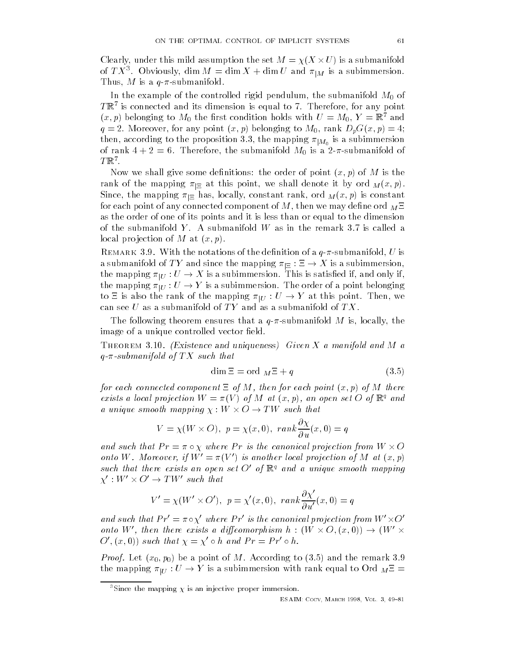Clearly, under this mild assumption the set  $M = \chi(X \times U)$  is a submanifold of  $T\Lambda$  . Obviously,  $\dim M = \dim \Lambda + \dim U$  and  $\pi|_M$  is a subimmersion. Thus a quantum control of the control of the control of the control of the control of the control of the control of the control of the control of the control of the control of the control of the control of the control of t

In the example of the controlled rigid pendulum the submanifold M- of  $I$  is connected and its dimension is equal to  $I$  . Therefore, for any point  $I$  $(x, p)$  belonging to  $m_0$  the first condition holds with  $U = m_0, T = \mathbb{R}$  and q Moreover for any point x- p belonging to M- rank DpGx- p then, according to the proposition 5.5, the mapping  $\pi|_{M_0}$  is a subimmersion of rank  $\sigma$  rank  $\sigma$  rank  $\sigma$  submanifold  $\sigma$  as submanifold  $\sigma$  $\mathbf{I} \mathbb{R}$  .

Now we shall give some denitions the order of point x- p of M is the rank of the mapping  $\pi_{\vert \Xi}$  at this point, we shall denote it by ord  $M(x,p)$ . Since, the mapping  $\pi_{\Xi}$  has, locally, constant rank, ord  $M(x,p)$  is constant for each point of any connected component of  $\mathcal{N}$ as the order of one of its points and it is less than or equal to the dimension of the submanifold Y. A submanifold W as in the remark  $3.7$  is called a local products are producted as a state of M at a state of M at a state of M at a state of M at a state of M a

remarks  $\sigma$  of the notations of the denitions of a  $q$   $\kappa$  submanifold,  $\sigma$  is a submanifold of  $TY$  and since the mapping  $\pi_{|\Xi}:\Xi\to X$  is a subimmersion, the mapping  $\pi_{|U}:U\to X$  is a subimmersion. This is satisfied if, and only if, the mapping  $\pi_{|U}: U \to Y$  is a subimmersion. The order of a point belonging to  $\Xi$  is also the rank of the mapping  $\pi_{|U}: U \to Y$  at this point. Then, we can see U as a submanifold of TY and as a submanifold of TX.

The following theorem ensures that a quantifold  $\mathcal{A}$  is a quantifold  $\mathcal{A}$  is a quantifold  $\mathcal{A}$  is a quantifold  $\mathcal{A}$  is a quantifold  $\mathcal{A}$  is a quantifold  $\mathcal{A}$  is a quantifold  $\mathcal{A}$  is a quantifol image of a unique controlled vector field.

Theorem 9.10. (Endocated and uniquences) Given X a manifold and in a q-co-submanifold of TX submanifold of TX submanifold of TX such that the TX such that the TX such that the TX s

$$
\dim \Xi = \text{ord }_{M}\Xi + q \tag{3.5}
$$

for each connected component of M then for each point x- p of M there exists a local projection  $W = \pi(V)$  of M at  $(x, p)$ , an open set  $\bigcup$  of  $\mathbb{N}^2$  and a unique smooth mapping  $\chi: W \times O \rightarrow TW$  such that

$$
V = \chi(W \times O), \ p = \chi(x, 0), \ rank \frac{\partial \chi}{\partial u}(x, 0) = q
$$

and such that  $Pr = \pi \circ \chi$  where  $Pr$  is the canonical projection from  $W \times O$ onto W. Moreover, if  $W' = \pi(V')$  is another local projection of M at  $(x, p)$ such that there exists an open set  $O'$  of  $\mathbb{R}^q$  and a unique smooth mapping  $\chi':W'\times O'\to TW'$  such that

$$
V' = \chi(W' \times O'), \ p = \chi'(x, 0), \ rank \frac{\partial \chi'}{\partial u'}(x, 0) = q
$$

and such that  $Pr' = \pi \circ \chi'$  where  $Pr'$  is the canonical projection from  $W' \times O'$ onto W', then there exists a diffeomorphism  $h : (W \times O, (x, 0)) \rightarrow (W' \times$  $O'(x,0)$  such that  $\chi = \chi' \circ h$  and  $Pr = Pr' \circ h$ .

- provided to the remarkable control to and the remarkable control of the remarkable control of the remarkable the mapping  $\pi_{|U}: U \to Y$  is a subimmersion with rank equal to Ord  ${}_M\Xi ={}$ 

<sup>&</sup>lt;sup>3</sup>Since the mapping  $\chi$  is an injective proper immersion.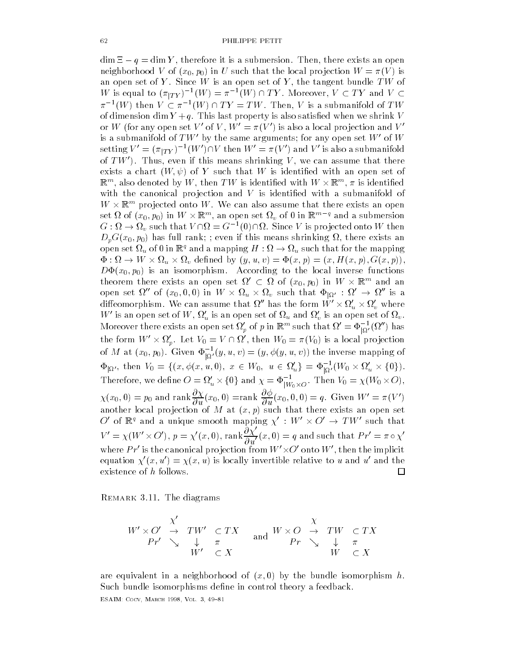$\dim \Xi - q = \dim Y$ , therefore it is a submersion. Then, there exists an open neighborhood van die local provinsies waard van die voormalige van die voormalige van die voormalige van die v an open set of Y is an open set of Y is an open set of Y is an open set of Y is an open set of Y is an open se  $W$  is equal to  $(\pi_{|TY})^{-1}(W) = \pi^{-1}(W) \cap TY.$  Moreover,  $V \subset TY$  and  $V \subset$  $\pi^{-1}(W)$  then  $V \subset \pi^{-1}(W) \cap TY = TW$ . Then, V is a submanifold of  $TW$ or W (for any open set  $V'$  of V,  $W' = \pi(V')$  is also a local projection and  $V'$ is a submanifold of  $TW'$  by the same arguments; for any open set W' of W setting  $V' = (\pi_{|TY})^{-1}(W') \cap V$  then  $W' = \pi(V')$  and  $V'$  is also a submanifold of  $TW'$ ). Thus, even if this means shrinking V, we can assume that there exists a chart W- of Y such that W is identied with an open set of  $\mathbb{R}^m$ , also denoted by  $W$ , then  $TW$  is identified with  $W\times \mathbb{R}^m$ ,  $\pi$  is identified with the canonical projection and  $V$  is identified with a submanifold of  $W\times\mathbb{R}^m$  projected onto  $W.$  We can also assume that there exists an open set  $\Omega$  of  $(x_0, p_0)$  in  $W \times \mathbb{R}^m,$  an open set  $\Omega_v$  of 0 in  $\mathbb{R}^{m-q}$  and a submersion  $G:\Omega\to\Omega_v$  such that  $V\cap\Omega=G^{-1}(0)\cap\Omega$ . Since V is projected onto W then  $p = h \cdot \mathbf{U} + \mathbf{U}$  full rank if the even if the even if the even if the even if the exists and  $p = h \cdot \mathbf{U} + \mathbf{U}$ open set  $\Omega_u$  of 0 in  $\mathbb{R}^q$  and a mapping  $H:\Omega\to\Omega_u$  such that for the mapping  $\Phi: \Omega \to W \times \Omega_u \times \Omega_v$  defined by  $(y, u, v) = \Phi(x, p) = (x, H(x, p), G(x, p)),$  $\Box$  is an isomorphism in the local inverse functions  $\Box$ theorem there exists an open set  $\Omega'\, \subset\, \Omega$  of  $(x_0, p_0)$  in  $W\, \times\, {\mathbb R}^m$  and an open set  $\Omega''$  of  $(x_0,0,0)$  in  $W\times\Omega_u\times\Omega_v$  such that  $\Phi_{|\Omega'}:\Omega'\to\Omega''$  is a diffeomorphism. We can assume that  $\Omega''$  has the form  $W' \times \Omega_u' \times \Omega_v'$  where  $W'$  is an open set of  $W,\,\Omega'_u$  is an open set of  $\Omega_u$  and  $\Omega'_v$  is an open set of  $\Omega_v$  . Moreover there exists an open set  $\Omega'_p$  of  $p$  in  $\mathbb{R}^m$  such that  $\Omega'=\Phi_{|\Omega'}^{-1}(\Omega'')$  has the form  $W' \times \Omega_{p}'$ . Let  $V_{0} = V \cap \Omega'$ , then  $W_{0} = \pi(V_{0})$  is a local projection of M at  $(x_0, p_0)$ . Given  $\Phi_{|\Omega'}^{-1}(y, u, v) = (y, \phi(y, u, v))$  the inverse mapping of  $\Phi_{|\Omega'}$ , then  $V_0 = \{(x, \phi(x, u, 0), x \in W_0, u \in \Omega'_u\} = \Phi_{|\Omega'}^{-1}(W_0 \times \Omega'_u \times \{0\})$ . of M at  $(x_0, p_0)$ . Given  $\Phi_{|\Omega'}^{-1}(y, u, v) = (y, \phi(y, u, v))$  the inverse mapping of  $V_0 = \{(x, \phi(x, u, 0), x \in W_0, u \in \Omega'_u\}$ <br>we define  $O = \Omega'_u \times \{0\}$  and  $\chi = \Phi^{-1}_{W_0 \times G}$ Therefore, we define  $O=\Omega'_u\times \{0\}$  and  $\chi=\Phi^{-1}_{|W_0\times O}$ . Then  $V_0=\chi(W_0\times O),$  $\chi(x_0,0)=p_0$  and rank  $\frac{\partial \chi}{\partial u}(x_0,0)=$ rank  $\frac{\partial \varphi}{\partial u}(x_0,0,0)=q$ . Given  $W'=\pi(V')$ another local projection of M at  $(x, p)$  such that there exists an open set O' of  $\mathbb{R}^q$  and a unique smooth mapping  $\chi' : W' \times O' \to TW'$  such that  $V'=\chi(W'\times O'),\,p=\chi'(x,0),$  rank $\frac{\partial \chi'}{\partial u'}(x,0)=q$  and such that  $Pr'=\pi\circ\chi'$ where  $Pr'$  is the canonical projection from  $W' \times O'$  onto  $W'$ , then the implicit equation  $\chi'(x, u') = \chi(x, u)$  is locally invertible relative to u and u' and the existence of h follows.  $\Box$ 

remark office the distribution

$$
W' \times O' \xrightarrow{\chi'} TV' \subset TX
$$
  
\n
$$
Pr' \searrow \downarrow \pi
$$
  
\n
$$
W' \subset X
$$
  
\nand 
$$
W \times O \xrightarrow{\chi} TW \subset TX
$$
  
\n
$$
Pr \searrow \downarrow \pi
$$
  
\n
$$
W \subset X
$$

are equivalent in a neighborhood of x-by the bundle isomorphism has been a new photographic in the bundle isomorphism has been a structured of the bundle isomorphism has been a structured of the bundle isomorphism has been Such bundle isomorphisms define in control theory a feedback.

————————————————————————————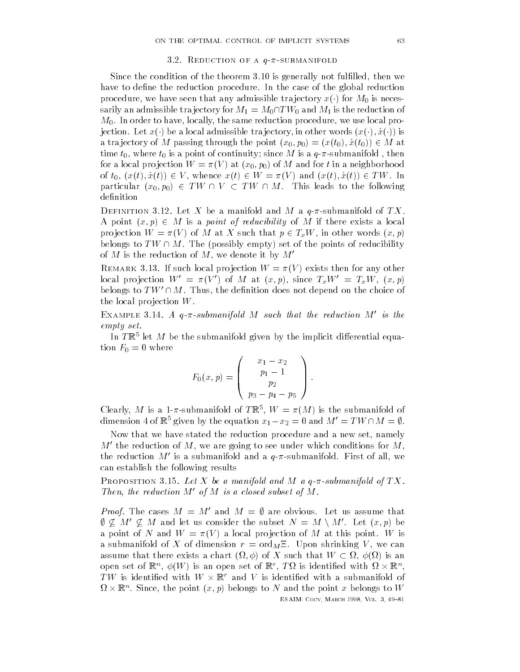#### 3.2. REDUCTION OF A  $q-\pi$ -SUBMANIFOLD

Since the condition of the theorem is generally not fullled then we have to define the reduction procedure. In the case of the global reduction procedure, we have seen that any admissible trajectory  $x\left(\cdot\right)$  for  $M_0$  is necessarily an admissible trajectory for  $M_1 = M_0 \cap TW_0$  and  $M_1$  is the reduction of  $\mathbf v$  in order to have reduced procedure  $\mathbf v$  in the same reduction procedure  $\mathbf v$ jection. Let  $x(\cdot)$  be a local admissible trajectory, in other words  $(x(\cdot), \dot{x}(\cdot))$  is a trajectory of M passing through the point  $(x_0, p_0) = (x(t_0), \dot{x}(t_0)) \in M$  at time to the term of the term of continuity since  $\mathcal{I}$  is a quantity since  $\mathcal{I}$  $\begin{array}{ccc} 1 & 0 & \cdots \end{array}$  , with  $\begin{array}{ccc} 1 & 0 & \cdots \end{array}$ of  $t_0$ ,  $(x(t), \dot{x}(t)) \in V$ , whence  $x(t) \in W = \pi(V)$  and  $(x(t), \dot{x}(t)) \in TW$ . In particular  $(x_0, p_0) \in TW \cap V \subset TW \cap M$ . This leads to the following definition

bethinition office boy if we a manifold and me a questioninoid of fire. A point  $(x, p) \in M$  is a *point of reducibility* of M if there exists a local projection  $W = \pi(V)$  of M at X such that  $p \in T_xW$ , in other words  $(x, p)$ belongs to TW  $\cap$  M. The (possibly empty) set of the points of reducibility of  $M$  is the reduction of  $M$ , we denote it by  $M^{\prime -}$ 

 $R_{\rm E}$  is such that  $\alpha$  is the such that  $\alpha$  is the  $\alpha$  is  $\alpha$  is  $\alpha$  is  $\alpha$  is the such that  $\alpha$  is  $\alpha$  is  $\alpha$  is  $\alpha$  is  $\alpha$  is  $\alpha$  is  $\alpha$  is  $\alpha$  is  $\alpha$  is  $\alpha$  is  $\alpha$  is  $\alpha$  is  $\alpha$  is  $\alpha$  is  $\alpha$  is local projection  $W' = \pi(V')$  of M at  $(x, p)$ , since  $T_xW' = T_xW$ ,  $(x, p)$ belongs to  $TW' \cap M$ . Thus, the definition does not depend on the choice of the local projection  $W$ .

EXAMPLE 3.14. A q- $\pi$ -submanifold M such that the reduction M' is the empty set

In  $I$  is the  $M$  be the submanifold given by the implicit differential equa- $\bullet$  F-contract  $\bullet$  F-contract  $\bullet$  F-contract  $\bullet$  F-contract  $\bullet$  F-contract  $\bullet$ 

$$
F_0(x, p) = \begin{pmatrix} x_1 - x_2 \\ p_1 - 1 \\ p_2 \\ p_3 - p_4 - p_5 \end{pmatrix}.
$$

Clearly, M is a 1-*n*-submanifold of TR ,  $W = \pi(M)$  is the submanifold of dimension 4 of  $\mathbb{R}^5$  given by the equation  $x_1 - x_2 = 0$  and  $M' = TW \cap M = \emptyset$ .

Now that we have stated the reduction procedure and a new set namely  $M'$  the reduction of  $M$ , we are going to see under which conditions for  $M$ , the reduction  $M'$  is a submanifold and a  $q$ - $\pi$ -submanifold. First of all, we can establish the following results

rect control on to Both the solid manifold and many  $\alpha$  is called and of TX. Then, the reduction  $M'$  of M is a closed subset of M.

*Proof.* The cases  $M = M'$  and  $M = \emptyset$  are obvious. Let us assume that  $\emptyset \not\subseteq M' \not\subseteq M$  and let us consider the subset  $N = M \setminus M'$ . Let  $(x, p)$  be a point of N and  $W = \pi(V)$  a local projection of M at this point. W is a submanifold of  $\alpha$  of dimension r  $\alpha$  or  $\mu = \alpha$  shows the dimension  $\alpha$  v  $\beta$  and  $\alpha$ assume that there exists a chart  $(\Omega, \phi)$  of X such that  $W \subset \Omega$ ,  $\phi(\Omega)$  is an open set of  $\mathbb{R}^n$ ,  $\phi(W)$  is an open set of  $\mathbb{R}^r$ ,  $T\Omega$  is identified with  $\Omega \times \mathbb{R}^n$ , TW is identified with  $W \times \mathbb{R}^r$  and V is identified with a submanifold of  $\Omega \times \mathbb{R}^n$ . Since, the point  $(x, p)$  belongs to N and the point x belongs to W ESAIM- Cocv March Vol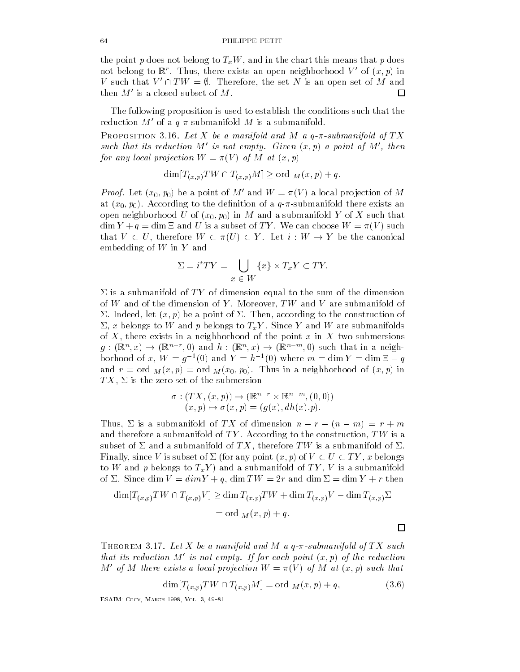the point produced to the point p does not belong the chart this means that p does not be a set of the chart t not belong to  $\mathbb{R}^r$ . Thus, there exists an open neighborhood  $V'$  of  $(x, p)$  in V such that  $V' \cap TW = \emptyset$ . Therefore, the set N is an open set of M and then  $M'$  is a closed subset of M.  $\Box$ 

The following proposition is used to establish the conditions such that the reduction  $M'$  of a q- $\pi$ -submanifold  $M$  is a submanifold.

rection of the manifold and and and measurement of  $\frac{1}{2}$ such that its reduction M' is not empty. Given  $(x, p)$  a point of M', then for any local projection  $\mathcal{P}$  and  $\mathcal{P}$  at  $\mathcal{P}$  at  $\mathcal{P}$  at  $\mathcal{P}$  at  $\mathcal{P}$  at  $\mathcal{P}$  at  $\mathcal{P}$  at  $\mathcal{P}$  at  $\mathcal{P}$  at  $\mathcal{P}$  at  $\mathcal{P}$  at  $\mathcal{P}$  at  $\mathcal{P}$  at  $\mathcal{P}$  at  $\mathcal{P}$  at  $\math$ 

$$
\dim [T_{(x,p)}TW \cap T_{(x,p)}M] \geq \text{ord }_{M}(x,p) + q.
$$

*Proof.* Let  $(x_0, p_0)$  be a point of M' and  $W = \pi(V)$  a local projection of M  $\mathcal{N}=\{1, \ldots, N\}$  and denition of a quantifold the denition of a quantifold the denition of a quantifold the denition of a quantifold the denition of a quantifold the denition of a quantifold the denition of a quantifol  $\Gamma$  in  $\Omega$  in  $\Gamma$  in M and a submanifold  $\Gamma$  $\dim Y + q = \dim \Xi$  and U is a subset of TY. We can choose  $W = \pi(V)$  such that  $V \subset U$ , therefore  $W \subset \pi(U) \subset Y$ . Let  $i: W \to Y$  be the canonical embedding of  $W$  in  $Y$  and  $\{x\} \times T_xY \subset TY.$ 

$$
\Sigma = i^*TY = \bigcup_{x \in W} \{x\} \times T_xY \subset TY.
$$

 $\Sigma$  is a submanifold of TY of dimension equal to the sum of the dimension of W and O and V are submanifold of W and V are submanifold of W are submanifold of W are submanifold of W are  $\mathbf{1}$  independent of  $\mathbf{1}$  independent of  $\mathbf{1}$  independent of  $\mathbf{1}$  $\mathcal{L}$  belongs to  $\mathcal{L}$  and  $\mathcal{L}$  and W are submanifolds to TxY and W are submanifolds to TxY and W are submanifolds to TxY and W are submanifolds to TxY and W are submanifolds to TxY and W are submanifolds to TxY of  $\mathcal{X}$  there exists in a neighborhood of the point  $\mathcal{X}$  two submersions in  $\mathcal{X}$  two submersions in  $\mathcal{X}$  $g: (\mathbb{R}^n, x) \to (\mathbb{R}^{n-r}, 0)$  and  $h: (\mathbb{R}^n, x) \to (\mathbb{R}^{n-m}, 0)$  such that in a neighborhood of x,  $W = q^{-1}(0)$  and  $Y = h^{-1}(0)$  where  $m = \dim Y = \dim \Xi - q$ and respectively. The main  $\mathcal{M}$   $\setminus$  in  $\mathcal{M}$   $\setminus$  in a neighborhood of  $\setminus$  in  $\setminus$  in  $\setminus$ TX " is the zero set of the submersion of the submersion of the submersion of the submersion of the submersion

$$
\sigma: (TX, (x, p)) \to (\mathbb{R}^{n-r} \times \mathbb{R}^{n-m}, (0, 0))
$$
  

$$
(x, p) \mapsto \sigma(x, p) = (g(x), dh(x).p).
$$

Thus,  $\Sigma$  is a submanifold of TX of dimension  $n - r - (n - m) = r + m$ and therefore a submanifold of T  $\mathcal{M}$  according to the construction of T  $\mathcal{M}$ subset of  $\blacksquare$  and a submanifold of  $\blacksquare$  therefore  $\blacksquare$  . Finally, since V is subset of  $\Sigma$  (for any point  $(x, p)$  of  $V \subset U \subset TY$ , x belongs to W and p belongs to TxY  $\mathcal{U}$  and a submanifold of T  $\mathcal{U}$  y is a submanifold of T  $\mathcal{U}$  and a submanifold of T  $\mathcal{U}$ of " Since dim V dimY q dim TW r and dim " dim <sup>Y</sup> <sup>r</sup> then

$$
\dim[T_{(x,p)}TW \cap T_{(x,p)}V] \ge \dim T_{(x,p)}TW + \dim T_{(x,p)}V - \dim T_{(x,p)}\Sigma
$$
  
= ord  $M(x,p) + q$ .

Theorem 9.11, Bet A to a manyoia and M a q-k-submanyoia of TA such that its reduction M' is not empty. If for each point  $(x, p)$  of the reduction M' of M there exists a local projection  $W = \pi(V)$  of M at  $(x, p)$  such that

$$
\dim[T_{(x,p)}TW \cap T_{(x,p)}M] = \text{ord }_{M}(x,p) + q,
$$
\n(3.6)

————————————————————————————

口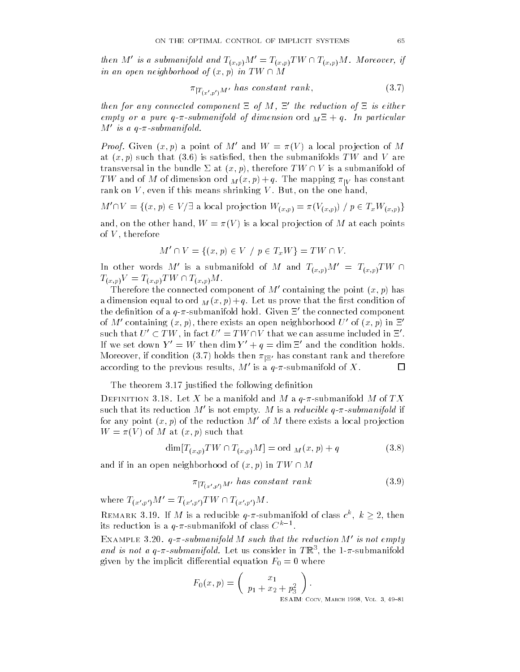then M' is a submanifold and  $T_{(x,p)}M' = T_{(x,p)}TW \cap T_{(x,p)}M$ . Moreover, if in an open neighborhood of  $(x, p)$  in TW  $\cap$  M

$$
\pi_{|T_{(x',p')}M'} \text{ has constant rank, } \tag{3.7}
$$

then for any connected component  $\Xi$  of M,  $\Xi'$  the reduction of  $\Xi$  is either empty or a pure q--submanifold of dimension ord <sup>M</sup> q In particular  $M'$  is a q- $\pi$ -submanifold.

*Proof.* Given  $(x, p)$  a point of M' and  $W = \pi(V)$  a local projection of M at  $\mathbf{r}$  satisfies that  $\mathbf{r}$  is satisfactor that  $\mathbf{r}$  and  $\mathbf{r}$  and  $\mathbf{r}$  are  $\mathbf{r}$ transversal in the bundle  $\Sigma$  at  $(x, p)$ , therefore  $TW \cap V$  is a submanifold of TW and of M of dimension ord  $M(x,p)+q$ . The mapping  $\pi|_V$  has constant rank on V even if this means shrinking V But on the one hand

 $M' \cap V = \{(x, p) \in V/\exists \text{ a local projection } W_{(x,p)} = \pi(V_{(x,p)}) / p \in T_x W_{(x,p)}\}$ 

and on the other hand of M at each problem in the other hand problem in the other hand problem in the other hand of vertical contracts and therefore the contracts of the contracts of the contracts of the contracts of the con

$$
M' \cap V = \{(x, p) \in V \mid p \in T_x W\} = TW \cap V.
$$

In other words  $M'$  is a submanifold of  $M$  and  $T_{(x,p)}M' = T_{(x,p)}TW \cap T$  $T_{(x,p)}V = T_{(x,p)}TW \cap T_{(x,p)}M.$ 

Therefore the connected component of  $M'$  containing the point  $(x, p)$  has a dimension equal to order that the rest condition of  $\mathbb{R}^n$ the definition of a  $q$ - $\pi$ -submanifold hold. Given  $\Xi'$  the connected component of M' containing  $(x, p)$ , there exists an open neighborhood U' of  $(x, p)$  in  $\Xi'$ such that  $U'\subset TW$  , in fact  $U'=TW\cap V$  that we can assume included in  $\Xi'.$ If we set down  $Y' = W$  then dim  $Y' + q = \dim \Xi'$  and the condition holds. Moreover, if condition  $(3,t)$  holds then  $\pi|_{\Xi'}$  has constant rank and therefore according to the previous results,  $M'$  is a  $q$ - $\pi$ -submanifold of  $X.$ ப

The theorem 3.17 justified the following definition

be a manifold of the and M a manifold and M a question modelling at the contract of the second model of the second model of the second model of the second model of the second model of the second model of the second model o such that its reduction M' is not empty. M is a *reducible q-* $\pi$ *-submanifold* if for any point  $(x, p)$  of the reduction  $M'$  of M there exists a local projection where  $\mathcal{N}$  is a such that  $\mathcal{N}$  at a such that  $\mathcal{N}$  is a such that  $\mathcal{N}$ 

$$
\dim[T_{(x,p)}TW \cap T_{(x,p)}M] = \text{ord }_{M}(x,p) + q \tag{3.8}
$$

and if in an open neighborhood of  $(x, p)$  in  $TW \cap M$ 

$$
\pi_{|T_{(x',p')}M'} \text{ has constant rank} \tag{3.9}
$$

where  $T_{(x',p')}M' = T_{(x',p')}TW \cap T_{(x',p')}M$ .

REMARK 3.19. If M is a reducible  $q$ - $\pi$ -submanifold of class  $c^k$ ,  $k \geq 2$ , then its reduction is a  $q$ - $\pi$ -submanifold of class  $C^{n-1}.$ 

EXAMPLE 3.20.  $q$ - $\pi$ -submanifold M such that the reduction M' is not empty and is not a q- $\pi$ -submanifold. Let us consider in TR , the 1- $\pi$ -submanifold  $\omega$  is the implicit differential equation  $\omega$  is the implicit distribution  $\omega$ 

$$
F_0(x, p) = \begin{pmatrix} x_1 \\ p_1 + x_2 + p_3^2 \end{pmatrix}.
$$
ESAIN: Coev. MA

coco manuele alle la coco di all'es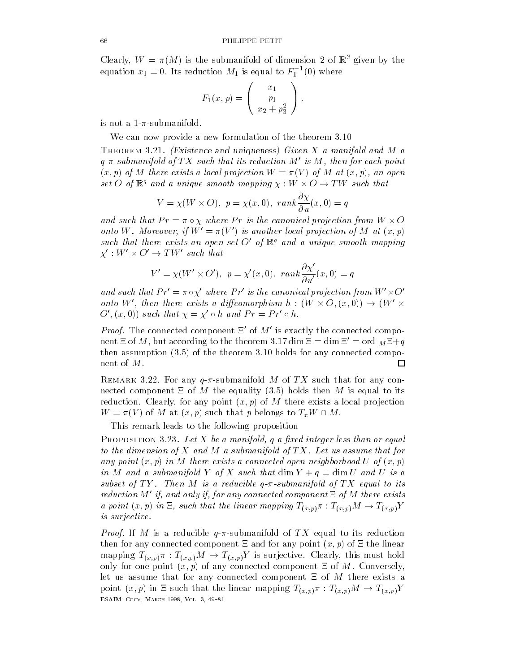Clearly,  $W = \pi(M)$  is the submanifold of dimension  $Z$  of  $\mathbb{R}$  given by the equation  $x_1 = 0$ . Its reduction  $M_1$  is equal to  $F_1^{-1}(0)$  where

$$
F_1(x,p) = \begin{pmatrix} x_1 \\ p_1 \\ x_2 + p_3^2 \end{pmatrix}.
$$

is not a 1- $\pi$ -submanifold.

We can now provide a new formulation of the theorem 3.10

**Independent distribution and uniqueness** of the information when  $\mathbf{r}$  $q$ - $\pi$ -submanifold of TX such that its reduction M' is M, then for each point x- p of M there exists a local projection W V of M at x- p an open set O of  $\mathbb{R}^q$  and a unique smooth mapping  $\chi: W \times O \rightarrow TW$  such that

$$
V = \chi(W \times O), \ p = \chi(x, 0), \ rank \frac{\partial \chi}{\partial u}(x, 0) = q
$$

and such that  $Pr = \pi \circ \chi$  where  $Pr$  is the canonical projection from  $W \times O$ onto W. Moreover, if  $W' = \pi(V')$  is another local projection of M at  $(x, p)$ such that there exists an open set O' of  $\mathbb{R}^q$  and a unique smooth mapping  $\chi':W'\times O'\to TW'$  such that

$$
V'=\chi(W'\times O'),\,\,p=\chi'(x,0),\,\,rank\frac{\partial\chi'}{\partial u'}(x,0)=q
$$

and such that  $Pr' = \pi \circ \chi'$  where  $Pr'$  is the canonical projection from  $W' \times O'$ onto W', then there exists a diffeomorphism  $h : (W \times O, (x, 0)) \rightarrow (W' \times$  $O'(x,0)$  such that  $\chi = \chi' \circ h$  and  $Pr = Pr' \circ h$ .

*Proof.* The connected component  $\Xi'$  of  $M'$  is exactly the connected component  $\Xi$  of M, but according to the theorem 3.17 dim  $\Xi = \dim \Xi' = \mathrm{ord}\;_{M} \Xi + q$ then assumption  $(3.5)$  of the theorem 3.10 holds for any connected component of  $M.$  $\Box$ 

remark of the red way of a confunded M of TX such that for any connected component  $\Xi$  of  $M$  the equality (3.5) holds then  $M$  is equal to its reduction is a local problem of M there exists a local problem in the set of M there exists a local problem in  $W = \pi(V)$  of M at  $(x, p)$  such that p belongs to  $T_xW \cap M$ .

This remark leads to the following proposition

r nor oprrion glag. But it we a manifold q a justa megal less man or equal to the dimension of X and M a submanifold of  $TX$ . Let us assume that for any product you provide the connected operation of the connected open neighborhood U of you product the second in M and a submanifold Y of X such that dim  $Y + q = \dim U$  and U is a subset of T T Y Then M is a reducible q-in-then million to the first the control to its control to its control reduction M' if, and only if, for any connected component  $\Xi$  of M there exists a point  $(x, p)$  in  $\Xi$ , such that the linear mapping  $T_{(x,p)}\pi : T_{(x,p)}M \to T_{(x,p)}Y$ is surjective

*Proof.* If M is a reducible  $q$ - $\pi$ -submanifold of TX equal to its reduction then for any connected component  $\mathbf{r}_i$  and for any point  $\mathbf{r}_i$  and  $\mathbf{r}_i$  and  $\mathbf{r}_i$  and  $\mathbf{r}_i$  and  $\mathbf{r}_i$  and  $\mathbf{r}_i$  and  $\mathbf{r}_i$  and  $\mathbf{r}_i$  and  $\mathbf{r}_i$  and  $\mathbf{r}_i$  and  $\mathbf{r}_i$  and  $\mathbf{r$ mapping  $T_{(x,p)}\pi : T_{(x,p)}M \to T_{(x,p)}Y$  is surjective. Clearly, this must hold only for one point x- p of any connected component of M Conversely let us assume that for any connected component  $\Xi$  of M there exists a point  $(x, p)$  in  $\Xi$  such that the linear mapping  $T_{(x, p)}\pi : T_{(x, p)}M \to T_{(x, p)}Y$ ————————————————————————————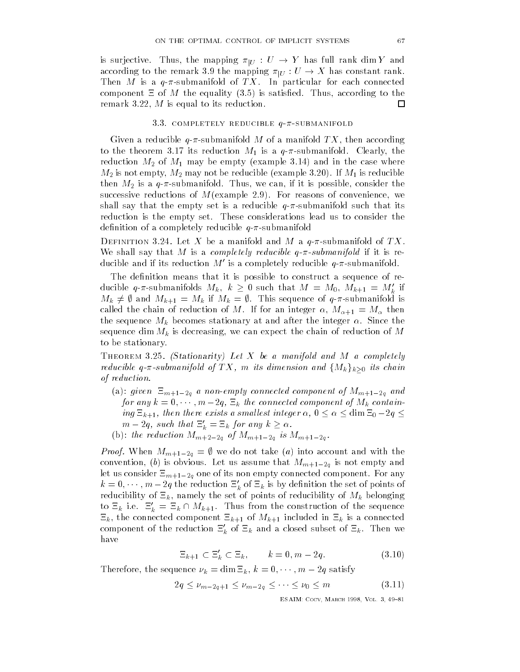is surjective. Thus, the mapping  $\pi_{|U} \, : \, U \, \rightarrow \, Y$  has full rank dim  $Y$  and according to the remark 3.9 the mapping  $\pi_{|U}:U\to X$  has constant rank. Then M is a  $q$ - $\pi$ -submanifold of TX. In particular for each connected component is satisfactory in the equality of M the equality is satisfactory in the equality of the equality of 口 remarks the matrix of the matrix of the matrix of the matrix of the matrix of the matrix of the matrix of the m

## 3.3. COMPLETELY REDUCIBLE  $q-\pi$ -SUBMANIFOLD

 $\mathcal{L}$  reducible  $\mathcal{L}$  and according  $\mathcal{L}$  manifold  $\mathcal{L}$  and according TX of a manifold TX of a manifold TX of a manifold TX of a manifold TX of a manifold TX of a manifold TX of a manifold TX of a manifold TX the theorem is the theorem is a quantity  $\mathbf{v}$  is a quantity  $\mathbf{v}$  is a quantity  $\mathbf{v}$ reduction May be empty example and in the case where  $\mu$ M is not empty M may not be reducible example If M is reducible then Microsoft in the constant of the consider the constant of the constant of the constant of the constant of successive reductions of  $\mathbb{F}$  reasons of  $\mathbb{F}$  reasons of convenience  $\mathbb{F}$ shall say that the empty set is a reducible  $q-\pi$ -submanifold such that its reduction is the empty set These considerations lead us to consider the definition of a completely reducible  $q-\pi$ -submanifold

 $D$  bithition  $\partial \mu$  if now if we a manifold and M a  $q$  w bayinanifold of Tite where the M is a complete same matrix reducible and the M is reducible and the matrix reducible  $\mathcal{A}$ ducible and if its reduction M' is a completely reducible  $q-\pi$ -submanifold.

The definition means that it is possible to construct a sequence of reducible q- $\pi$ -submanifolds  $M_k$ ,  $k \geq 0$  such that  $M = M_0, M_{k+1} = M'_k$  if  $M_k \neq \emptyset$  and  $M_{k+1} = M_k$  if  $M_k = \emptyset$ . This sequence of  $q$ - $\pi$ -submanifold is  $\Omega$  integer of  $\Omega$  integer  $\Omega$  integer of  $\Omega$  integer  $\Omega$ the sequence  $M_k$  becomes stationary at and after the integer  $\alpha$ . Since the sequence dim  $\mathcal{N}$  is decreasing the chain of reduction of  $\mathcal{N}$ to be stationary 

Theorem - Stationarity- Let X be a manifold and M a completely reducible q- $\pi$ -submanifold of  $TX,$  m its dimension and  $\{M_k\}_{k\geq 0}$  its chain of reduction

- $\alpha$  and  $\alpha$  and  $\alpha$  and  $\alpha$  and  $\alpha$  and  $\alpha$  of  $\alpha$  and  $\alpha$  and  $\alpha$  and  $\alpha$  and  $\alpha$ for any  $k = 0, \dots, m-2q$ ,  $\Xi_k$  the connected component of  $M_k$  containing  $\Xi_{k+1}$ , then there exists a smallest integer  $\alpha$ ,  $0 \leq \alpha \leq \dim \Xi_0 - 2q \leq \Xi_0$  $m - 2q$ , such that  $\Xi'_k = \Xi_k$  for any  $k \ge \alpha$ .
- b the reduction Mm <sup>q</sup> of Mm <sup>q</sup> is Mm <sup>q</sup>

*Proof.* When  $M_{m+1-2g} = \emptyset$  we do not take (a) into account and with the  $\sim$  is obviously ( ) for excellence that MM measurement constructing  $\mu$  and the second  $\sim$  and  $\sim$ let us consider  $=$  $m+1-2q$  one of its non empty connected component for any  $k=0,\cdots,m-2q$  the reduction  $\Xi_k'$  of  $\Xi_k$  is by definition the set of points of reducibility of the set of points of the set of reducibility of the set of the set of reducibility of Mk belon to  $\Xi_k$  i.e.  $\Xi'_k = \Xi_k \cap M_{k+1}$ . Thus from the construction of the sequence  $\mu$  is a connected component to the connected in the connected in the connected in the connected in the connected in the connected in the connected in the connected in the connected in the connected in the connected in t component of the reduction  $\Xi'_k$  of  $\Xi_k$  and a closed subset of  $\Xi_k$ . Then we have

$$
\Xi_{k+1} \subset \Xi'_k \subset \Xi_k, \qquad k = 0, m - 2q. \tag{3.10}
$$

Therefore, the sequence  $\nu_k = \dim \Xi_k$ ,  $k = 0, \cdots, m-2q$  satisfy

$$
\begin{aligned}\n\text{uence } \nu_k &= \dim \Xi_k, \, k = 0, \cdots, m - 2q \text{ satisfy} \\
2q &\le \nu_{m-2q+1} \le \nu_{m-2q} \le \cdots \le \nu_0 \le m\n\end{aligned} \tag{3.11}
$$

ESAIM- Cocv March Vol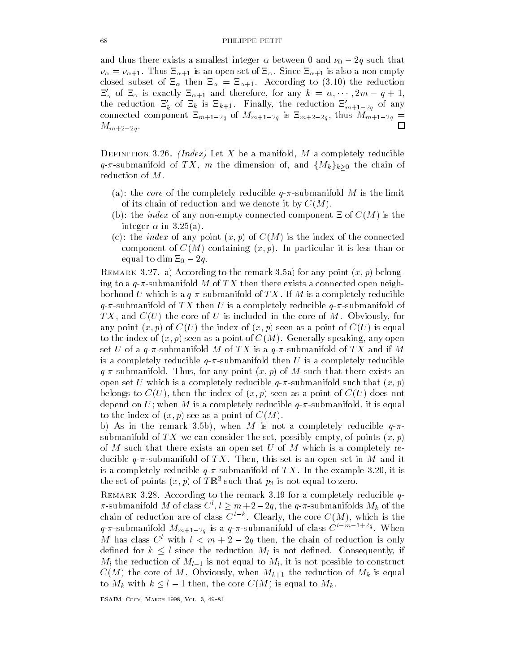and thus there exists a smallest integer  $\alpha$  between 0 and  $\nu_0-2q$  such that  $\nu_\alpha = \nu_{\alpha+1}$ . Thus  $\Xi_{\alpha+1}$  is an open set of  $\Xi_\alpha$ . Since  $\Xi_{\alpha+1}$  is also a non empty closed subset of  $\Xi_{\alpha}$  then  $\Xi_{\alpha} = \Xi_{\alpha+1}$ . According to (3.10) the reduction  $\Xi'_\alpha$  of  $\Xi_\alpha$  is exactly  $\Xi_{\alpha+1}$  and therefore, for any  $k = \alpha, \cdots, 2m-q+1$ , the reduction  $\Xi'_k$  of  $\Xi_k$  is  $\Xi_{k+1}$ . Finally, the reduction  $\Xi'_{m+1-2g}$  of any connected component  $m_{\rm H}$  is more map is  $q$  and  $m_{\rm H}$  and  $q$  and  $m_{\rm H}$  is more connected and  $\Box$ Mm <sup>q</sup> 

 $\mathbf{D}$  index  $\mathbf{D}$  and  $\mathbf{D}$  and  $\mathbf{D}$  are a manifold, i.e.  $\alpha$  completely reducible  $q$ - $\pi$ -submanifold of  $TX,$   $m$  the dimension of, and  $\{M_k\}_{k\geq 0}$  the chain of reduction of  $M.$ 

- (a): the *core* of the completely reducible  $q$ - $\pi$ -submanifold M is the limit of its chain of reduction and we denote it by  $C(M)$ .
- (b): the *index* of any non-empty connected component  $\Xi$  of  $C(M)$  is the integer  $\alpha$  in 3.25(a).
- $\mathbf{v}$ component of CM containing x-containing x-containing x-containing x-containing x-containing x-containing x-containing x-containing x-containing x-containing x-containing x-containing x-containing x-containing x-containing equal to dim  $\Xi_0 - 2q$ . equal to dim  $\Xi_0 - 2q$ .<br>REMARK 3.27. a) According to the remark 3.5a) for any point  $(x, p)$  belong-

ing to a  $q$ - $\pi$ -submanifold M of TX then there exists a connected open neighborhood U which is a  $q$ - $\pi$ -submanifold of  $TX$  . If M is a completely reducible q- $\pi$ -submanifold of TX then U is a completely reducible  $q$ - $\pi$ -submanifold of TX and CU the core of U is included in the core of  $M$  is included in the core of  $M$  Obviously  $M$  Obviously  $M$ any point x-current control any point of the index of a point of a point of a point of current control and a po to the index of the index of the index of the induced speaking of the induced speaking of the induced speaking of the induced speaking of the induced speaking of the induced speaking of the induced speaking of the induced set U of a  $q$ - $\pi$ -submanifold M of TX is a  $q$ - $\pi$ -submanifold of TX and if M is a completely reducible  $q-\pi$ -submanifold then U is a completely reducible  $\mathbf r$  for any point  $\mathbf r$  . Thus, any point  $\mathbf r$  and there exists any point  $\mathbf r$  and  $\mathbf r$  and  $\mathbf r$  and  $\mathbf r$ open set U which is a completely reducible quantum  $\mathcal{A}$  and  $\mathcal{A}$  and  $\mathcal{A}$  and  $\mathcal{A}$  and  $\mathcal{A}$  and  $\mathcal{A}$  and  $\mathcal{A}$  and  $\mathcal{A}$  and  $\mathcal{A}$  and  $\mathcal{A}$  and  $\mathcal{A}$  and  $\mathcal{A}$  and  $\mathcal{A}$  and belongs to Cubertate to Cubertate to Cubertate the index of the index of cubertate the index of Cubertate the are reducible to a contract matrix of the completely reducible qualitative and an interesting and a squality to the index of you go a see the seeds of a point of  $\mathcal{L}_1$ 

be a single vector of the remark  $\mathbf{F}$  is not a complete  $\mathbf{F}$ submanifold of TX we can consider the set of points x-tagger the set of points x-tagger the set of points x-tagger the set of the set of the set of the set of the set of the set of the set of the set of the set of the set of M such that there exists an open set U of M which is a completely reducible quantum in  $\mathcal{M}$  this set is an open set is an open set in M and it must be in M and it must be in is a completely reducible quantum completely reducible  $\Gamma$  is in the example  $\Gamma$  in the example  $\Gamma$ the set of points  $(x, p)$  of TRS such that  $p_3$  is not equal to zero.

 $R_{\rm E}$  remarks  $\alpha$  . The remark of remark  $\alpha$  for a completely reducible  $q$  $\pi$ -submanifold M of class  $C^l, l \geq m+2-2q,$  the  $q$ - $\pi$ -submanifolds  $M_k$  of the chain of reduction are of class  $C^{*-k}$ . Clearly, the core  $C(M)$ , which is the  $q$ - $\pi$ -submanifold  $M_{m+1-2g}$  is a  $q$ - $\pi$ -submanifold of class  $C^{i-m-1+2g}$ . When M has class  $C^l$  with  $l < m+2-2q$  then, the chain of reduction is only defined for  $k \leq l$  since the reduction  $M_l$  is not defined. Consequently, if  $m_1$  and reduction or  $m_1 - 1$  is not equal to  $m_1$ , it is not possible to construct  $\sim$  (see ) when when Mk the core of  $\mu$  is equal the reduction of  $\mu$  and  $\mu$  is equal to to  $M_k$  with  $k \leq l - 1$  then, the core  $C(M)$  is equal to  $M_k$ .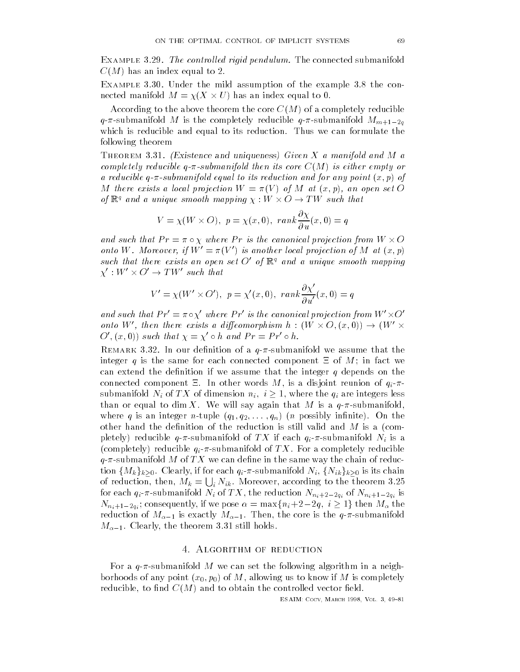Example - The control led rigid pendulum The connected submanifold  $C(M)$  has an index equal to 2.

Example - Under the mild assumption of the example the con nected manifold  $M = \chi(X \times U)$  has an index equal to 0.

According to the above theorem the core  $C(M)$  of a completely reducible  $_1$  . The complete and an interesting  $_1$  reducible  $_1$  , the complete  $_2$  and  $_3$  and  $_4$ which is reducible and equal to its reduction. Thus we can formulate the following theorem

**Independent and uniquence** and  $\theta$  and  $\theta$  and  $\theta$  and  $\theta$  and  $\theta$  and  $\theta$ completely reducible q-d-core core core CM is either empty or core CM is either empty or core CM is either empty a reducible q-d-formanifold equal to its reduction and for any point  $\alpha$  and for any point  $\alpha$ M there exists a local projection W V of M at x- p an open set O of  $\mathbb{R}^q$  and a unique smooth mapping  $\chi: W \times O \rightarrow TW$  such that

$$
V = \chi(W \times O), \ p = \chi(x, 0), \ rank \frac{\partial \chi}{\partial u}(x, 0) = q
$$

and such that  $Pr = \pi \circ \chi$  where Pr is the canonical projection from  $W \times O$ onto W. Moreover, if  $W' = \pi(V')$  is another local projection of M at  $(x, p)$ such that there exists an open set O' of  $\mathbb{R}^q$  and a unique smooth mapping  $\chi':W'\times O'\to TW'$  such that

$$
V' = \chi(W' \times O'), \ p = \chi'(x, 0), \ rank \frac{\partial \chi'}{\partial u'}(x, 0) = q
$$

and such that  $Pr' = \pi \circ \chi'$  where  $Pr'$  is the canonical projection from  $W' \times O'$ onto W', then there exists a diffeomorphism  $h : (W \times O, (x, 0)) \rightarrow (W' \times$  $O'(x,0)$  such that  $\chi = \chi' \circ h$  and  $Pr = Pr' \circ h$ .

 $R_{\rm E}$  in our denition of a  $q$   $\kappa$  sasmanifold we assume that the theory integer q is the same for each connected component  $\Xi$  of M; in fact we can extend the definition if we assume that the integer  $q$  depends on the connected component  $\alpha$  is a disjoint reunion of  $\alpha$  disjoint reunion of  $\alpha$ submanifold  $N_i$  of  $TX$  of dimension  $n_i, i \geq 1$ , where the  $q_i$  are integers less than or equal to dim X. We will say again that M is a  $q-\pi$ -submanifold,  $\mathcal{A}$  is an integration of the contract on the contract of the contract of the contract of the contract of the contract of the contract of the contract of the contract of the contract of the contract of the contract of other hand the definition of the reduction is still valid and  $M$  is a (completely) reducible  $q$ - $\pi$ -submanifold of TX if each  $q_i$ - $\pi$ -submanifold  $N_i$  is a (completely) reducible  $q_i$ - $\pi$ -submanifold of  $TX$ . For a completely reducible  $q$ - $\pi$ -submanifold M of TX we can define in the same way the chain of reduction  $\{M_k\}_{k\geq 0}$ . Clearly, if for each  $q_i$ - $\pi$ -submanifold  $N_i,$   $\{N_{ik}\}_{k\geq 0}$  is its chain of reduction, then,  $M_k = \bigcup_i N_{ik}.$  Moreover, according to the theorem 3.25 for each  $q_i$  submanifold  $\ldots$  (i.e.  $\ldots$ ) and reduction  $\ldots$   $n_i$   $\uparrow$   $\downarrow$   $\uparrow$   $q_i$   $\uparrow$   $\downarrow$   $\uparrow$   $\uparrow$   $\uparrow$   $\uparrow$   $q_i$   $\uparrow$   $\uparrow$   $\uparrow$   $q_i$   $\uparrow$   $\uparrow$  $N_{n_i+1-2q_i}$ ; consequently, if we pose  $\alpha = \max\{n_i+2-2q, \ i \geq 1\}$  then  $M_\alpha$  the  $t$  care is the  $t-1$  is exactly map  $t-1$  . Then, the core is the qsubmanifold  $\alpha$  . The theorem is the theorem in the theorem in the still holds of  $\alpha$ 

For a  $q$ - $\pi$ -submanifold M we can set the following algorithm in a neighborhoods of any point x-- p- of M allowing us to know if M is completely reducibly to did to party different controlled vector the control different controlled vectors of the controll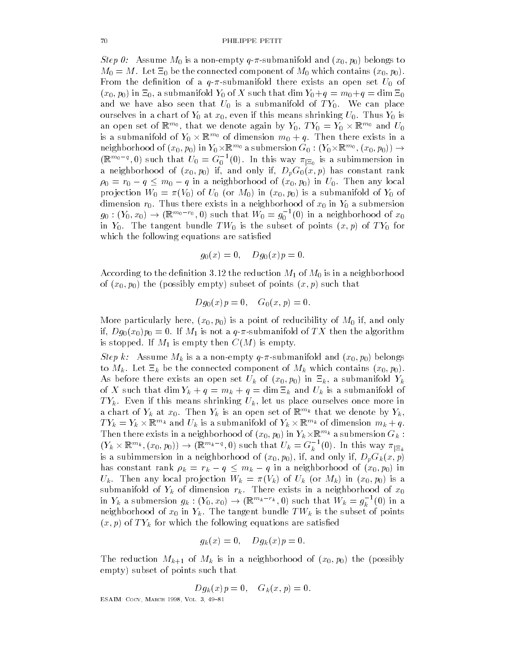$\mathbb{R}$  . The matrix  $\mathbb{R}$  is a non-monoental and  $\mathbb{R}$  and  $\mathbb{R}$  is a non-monoental monoental monoental monoental monoental monoental monoental monoental monoental monoental monoental monoental monoental monoen  $\mathbb{R}^n$  , which connected component of  $\mathbb{R}^n$  , which contains  $\mathbb{R}^n$ From the density and denition of a quantifold the density and  $\mathbb{F}_{\mathbf{U}}$ x-- p- in - a submanifold Y- of <sup>X</sup> such that dim Y-q m-q dim and we have also seen that  $U$  is a submanifold of T  $\mathcal{U}$  is a submanifold of T  $\mathcal{U}$  $\mathsf{v}_1$  is a chart of  $\mathsf{v}_2$  is a chart of  $\mathsf{v}_3$  is a chart of  $\mathsf{v}_3$ an open set of  $\mathbb{R}^{m_0},$  that we denote again by  $Y_0, \, TY_0 = Y_0 \times \mathbb{R}^{m_0}$  and  $U_0$ is a submanifold of  $Y_0\times\mathbb{R}^{m_0}$  of dimension  $m_0+q.$  Then there exists in a neighborhood of  $(x_0,p_0)$  in  $Y_0{\times} \mathbb{R}^{m_0}$  a submersion  $G_0:(Y_0{\times} \mathbb{R}^{m_0}, (x_0,p_0))\to$  $(\mathbb{R}^{m_0-q},0)$  such that  $U_0 = G_0^{-1}(0)$ . In this way  $\pi_{\mid \Xi_0}$  is a subimmersion in and if  $\alpha$  if  $\alpha$  if  $\alpha$  if  $\alpha$  if  $\alpha$  if  $\alpha$  if  $\alpha$  if  $\alpha$  if  $\alpha$  if  $\alpha$  if  $\alpha$  if  $\alpha$  if  $\alpha$  if  $\alpha$  $\rho_0 = r_0 - q \le m_0 - q$  in a neighborhood of  $(x_0, p_0)$  in  $U_0$ . Then any local produced a submanifold of the U-state of U-state of U-state of U-state of U-state of U-state of U-state of U-s dimension references in the submersion of a new submersion of a new submersion of  $\alpha$  $g_0:(Y_0,x_0)\rightarrow (\mathbb{R}^{{m_0}-{r_0}},0)$  such that  $W_0=g_0^{-1}(0)$  in a neighborhood of  $x_0$  $\begin{array}{ccc} \circ & \circ & \circ & \circ & \circ \end{array}$ which the following equations are satisfied

$$
g_0(x) = 0
$$
,  $Dg_0(x)p = 0$ .

 $\mathbf{u}$  is the denition  $\mathbf{u}$  is in a neighborhood  $\mathbf{u}$  is in a neighborhood  $\mathbf{u}$ of the points and points the points and the points are the points and the points are the points and the points of points and the points of points and the points of points and the points of points and the points of points a

$$
Dg_0(x)p = 0
$$
,  $G_0(x, p) = 0$ .

- p-more particularly here is a point of the more in the more in the more in the more in the more in the more in if  $D$  is not a quantifold of  $\mathbf{I}$  is not a quantifold of  $\mathbf{I}$ is stopped. If  $M_1$  is empty then  $C(M)$  is empty.

- p- belongsubmanifold and x-and x-and x-and x-and x-and x-and x-and x-and x-and x-and x-and x-and x-and x-and to Mk which connected component of Mk which connected component of Mk which contains  $\mathcal{N}=\mathcal{N}=\mathcal{N}=\mathcal{N}=\mathcal{N}=\mathcal{N}=\mathcal{N}=\mathcal{N}=\mathcal{N}=\mathcal{N}=\mathcal{N}=\mathcal{N}=\mathcal{N}=\mathcal{N}=\mathcal{N}=\mathcal{N}=\mathcal{N}=\mathcal{N}=\mathcal{N}=\mathcal{N}=\mathcal{N}=\mathcal{N}=\mathcal{$  $\begin{array}{ccc} \Gamma & -\rho & \lambda & \text{Uif } \text{Vf} & \rho \end{array}$ of X such that dim  $Y_k + q = m_k + q = \dim \Xi_k$  and  $U_k$  is a submanifold of  $\mathbb{R}$  if the even if the user  $\mathbb{R}$  if the more intervals on concern in the even in the even in the even in the even in the even in the even in the even in the even in the even in the even in the even in the even in a chart of  $Y_k$  at  $x_0$ . Then  $Y_k$  is an open set of  $\mathbb{R}^{n_{\infty}}$  that we denote by  $Y_k$ ,  $TY_k = Y_k \times \mathbb{R}^{m_k}$  and  $U_k$  is a submanifold of  $Y_k \times \mathbb{R}^{m_k}$  of dimension  $m_k + q$ . Then there exists in a neighborhood of  $(x_0,p_0)$  in  $Y_k\times \mathbb{R}^{m_k}$  a submersion  $G_k$  :  $(Y_k\times\mathbb{R}^{m_k}, (x_0,p_0))\to (\mathbb{R}^{m_k-q},0)$  such that  $U_k=G_k^{-1}(0).$  In this way  $\pi_{\mid \Xi_k}\mid$ is a subset of  $\mathbf{v}$  is and  $\mathbf{v}$  is a neighborhood of  $\mathbf{v}$ has constant rank  $\rho_k = r_k - q \leq m_k - q$  in a neighborhood of  $(x_0, p_0)$  in  $\mathbb{P}\left( \mathbb{R}^N \setminus \mathbb{R}^N \setminus \mathbb{R}^N \setminus \mathbb{R}^N \right)$  is a set  $\mathbb{R}^N$  in  $\mathbb{R}^N$  in  $\mathbb{R}^N$  in  $\mathbb{R}^N$  in  $\mathbb{R}^N$  in  $\mathbb{R}^N$  in  $\mathbb{R}^N$  in  $\mathbb{R}^N$  in  $\mathbb{R}^N$  in  $\mathbb{R}^N$  in  $\mathbb{R}^N$  in  $\math$ submanifold of  $Y_k$  of dimension  $r_k$ . There exists in a neighborhood of  $x_0$ in  $Y_k$  a submersion  $g_k: (Y_0, x_0) \to (\mathbb{R}^{m_k-r_k}, 0)$  such that  $W_k = g_k^{-1}(0)$  in a  $\Omega$  in  $\Omega$  is the subset of points of points  $\mathbb{R}^n$  is the subset of points  $\mathbb{R}^n$  is the subset of points  $\mathbb{R}^n$  is the subset of points  $\mathbb{R}^n$  is the subset of points  $\mathbb{R}^n$  is the subset of points  $\mathbf{v} \cdot \mathbf{r}$  for which the following equations are satisfied.

$$
g_k(x) = 0, \quad Dg_k(x)p = 0.
$$

The reduction Mk of Mk is in a neighborhood of x-- p- the possibly empty) subset of points such that

$$
Dg_k(x)p=0, \quad G_k(x,p)=0.
$$

————————————————————————————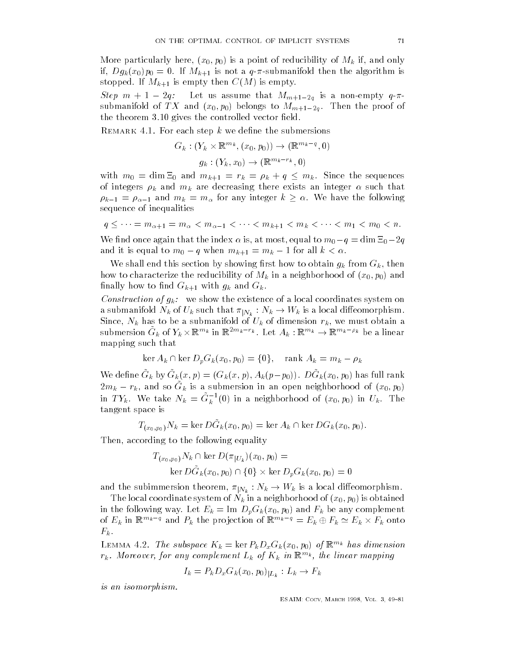- p-more particularly in the property of the property of Microsoft and Microsoft and Microsoft and Microsoft and M if  $D$  is not a quantifold the algorithm is not a set of  $\mathbf{I}$ stopped. If  $M_{k+1}$  is empty then  $C(M)$  is empty.

Step  $m+1-2q$ : Let us assume that  $M_{m+1-2q}$  is a non-empty  $q-\pi$ submanifold of  $\mathcal{L}(0,T,0)$  are proof of  $\mathcal{L}(0,T,0)$  and  $\mathcal{L}(0,T,0)$ the theorem  $3.10$  gives the controlled vector field.

remarker refer twen step a we denne the submersions

$$
G_k: (Y_k \times \mathbb{R}^{m_k}, (x_0, p_0)) \to (\mathbb{R}^{m_k - q}, 0)
$$

$$
g_k: (Y_k, x_0) \to (\mathbb{R}^{m_k - r_k}, 0)
$$

with  $m_0 = \dim \Xi_0$  and  $m_{k+1} = r_k = \rho_k + q \le m_k$ . Since the sequences of integers  $\rho_k$  and  $m_k$  are decreasing there exists an integer  $\alpha$  such that  $\rho_{k-1} = \rho_{\alpha-1}$  and  $m_k = m_\alpha$  for any integer  $k \ge \alpha$ . We have the following<br>sequence of inequalities<br> $q \le \dots = m_{\alpha+1} = m_\alpha < m_{\alpha-1} < \dots < m_{k+1} < m_k < \dots < m_1 < m_0 < n$ . sequence of inequalities

$$
q \leq \cdots = m_{\alpha+1} = m_{\alpha} < m_{\alpha-1} < \cdots < m_{k+1} < m_k < \cdots < m_1 < m_0 < n.
$$

We find once again that the index  $\alpha$  is, at most, equal to  $m_0-q=\dim\Xi_0\!-\!2q$ and it is equal to  $m_0 - q$  when  $m_{k+1} = m_k - 1$  for all  $k < \alpha$ .

we show this section by showing ratio by showing ratio  $\mathcal{H}$  then  $\mathcal{H}$  from Gk from Gk from Gk from Gk from Gk from Gk from Gk from Gk from Gk from Gk from Gk from Gk from Gk from Gk from Gk from Gk from Gk from Gk  $\psi$  and  $\Theta$  in a neighborhood of  $\mathcal{N}$ finally how to find  $G_{k+1}$  with  $g_k$  and  $G_k$ .

Construction of  $q_k$ : we show the existence of a local coordinates system on a submanifold  $N_k$  of  $U_k$  such that  $\pi_{|N_k}: N_k \to W_k$  is a local diffeomorphism.  $S = W$  and  $W$ submersion  $G_k$  of  $Y_k \times \mathbb{R}^{m_k}$  in  $\mathbb{R}^{2m_k-r_k}$ . Let  $A_k: \mathbb{R}^{m_k} \to \mathbb{R}^{m_k-\rho_k}$  be a linear mapping such that

$$
\ker A_k \cap \ker D_p G_k(x_0, p_0) = \{0\}, \quad \text{rank } A_k = m_k - \rho_k
$$

We define  $G_k$  by  $G_k(x,p) = (G_k(x,p), A_k(p-p_0))$ .  $DG_k(x_0,p_0)$  has full rank  $2m_k - r_k$ , and so  $G_k$  is a submersion in an open neighborhood of  $(x_0, p_0)$ in  $TY_k$ . We take  $N_k = G_k^{-1}(0)$  in a neighborhood of  $(x_0, p_0)$  in  $U_k$ . The tangent space is

$$
T_{(x_0,p_0)}N_k = \ker D\tilde{G}_k(x_0,p_0) = \ker A_k \cap \ker DG_k(x_0,p_0).
$$

Then according to the following equality equality equality equality  $\mathcal{A}(\mathbf{A})$ 

$$
T_{(x_0, p_0)} N_k \cap \ker D(\pi_{|U_k})(x_0, p_0) =
$$
  
ker  $D\tilde{G}_k(x_0, p_0) \cap \{0\} \times \ker D_pG_k(x_0, p_0) = 0$ 

and the subimmersion theorem,  $\pi_{|N_k}: N_k \to W_k$  is a local diffeomorphism.

 $\mathbf{u} = \mathbf{u} \mathbf{v} + \mathbf{v} \mathbf{v}$  $\Omega$  , and  $\Omega = \Omega$  is an angle  $\Omega$  in  $\Omega = \Omega$  in  $\Omega$  is a complement of  $\Omega$ of  $E_k$  in  $\mathbb{R}^{m_k-q}$  and  $P_k$  the projection of  $\mathbb{R}^{m_k-q} = E_k \oplus F_k \simeq E_k \times F_k$  onto  $F_k$  .

LEMMA 4.2. The subspace  $\Lambda_k = \ker F_k D_x G_k(x_0, p_0)$  of  $\mathbb{R}^{n \times n}$  has atmension  $r_k$ . Moreover, for any complement  $L_k$  of  $\mathbf{R}_k$  in  $\mathbb{R}^{m_k}$ , the linear mapping

$$
I_k = P_k D_x G_k(x_0, p_0)|_{L_k}: L_k \to F_k
$$

is an isomorphism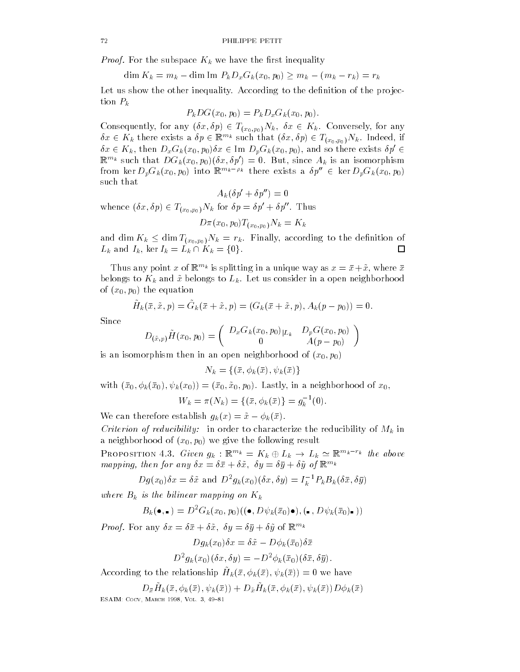*Proof.* For the subspace  $K_k$  we have the first inequality

 $\dim K_k = m_k - \dim \text{Im } P_k D_x G_k(x_0, p_0) \ge m_k - (m_k - r_k) = r_k$ 

Let us show the other inequality. According to the definition of the projection  $P_k$ 

$$
P_kDG(x_0,p_0)=P_kD_xG_k(x_0,p_0).
$$

Consequently, for any  $(\delta x, \delta p) \in T_{(x_0, p_0)}N_k$ ,  $\delta x \in K_k$ . Conversely, for any  $\delta x \in K_k$  there exists a  $\delta p \in \mathbb{R}^{m_k}$  such that  $(\delta x, \delta p) \in T_{(x_0, p_0)}N_k$ . Indeed, if  $\delta x \in K_k$ , then  $D_x G_k(x_0, p_0) \delta x \in \text{Im } D_p G_k(x_0, p_0)$ , and so there exists  $\delta p' \in$  $\mathbb{R}^{m_k}$  such that  $DG_k(x_0, p_0)(\delta x, \delta p') = 0$ . But, since  $A_k$  is an isomorphism from ker  $D_p G_k(x_0,p_0)$  into  $\mathbb{R}^{m_k-\rho_k}$  there exists a  $\delta p'' \in \ker D_p G_k(x_0,p_0)$ such that

$$
A_k(\delta p'+\delta p'')=0
$$

whence  $(\delta x, \delta p) \in T_{(x_0, p_0)} N_k$  for  $\delta p = \delta p' + \delta p''$ . Thus  $\iota\circ$ 

 $\left( \begin{array}{c} 0 \end{array} \right)$   $I = \left( \begin{array}{c} 0 \end{array} \right)$   $I = \left( \begin{array}{c} 0 \end{array} \right)$ 

and dim  $K_k \leq \dim T_{(x_0,p_0)}N_k = r_k$ . Finally, according to the definition of  $L_k$  and  $I_k$ , ker  $I_k = L_k \cap K_k = \{0\}.$  $\Box$ 

I has any point x of  $\mathbb{R}^{n-k}$  is splitting in a unique way as  $x = x + x$ , where x belongs to  $K_k$  and  $\tilde{x}$  belongs to  $L_k$ . Let us consider in a open neighborhood - the equation of the equation of the equation of the equation of the equation of the equation of the equation of the equation of the equation of the equation of the equation of the equation of the equation of the equation

$$
\tilde{H}_k(\bar{x}, \tilde{x}, p) = \tilde{G}_k(\bar{x} + \tilde{x}, p) = (G_k(\bar{x} + \tilde{x}, p), A_k(p - p_0)) = 0.
$$

Since

$$
D_{(\tilde{x},p)} \tilde{H}(x_0,p_0) = \left( \begin{array}{cc} D_x G_k(x_0,p_0)_{|L_k} & D_p G(x_0,p_0) \\ 0 & A(p-p_0) \end{array} \right)
$$

is an isomorphism to an open neighborhood of x-an open neighborhood of x-an open neighborhood of x-an open nei

 $N_k = \{(\bar{x}, \phi_k(\bar{x}), \psi_k(\bar{x})\}\$ 

- kwith x-borhood of x-borhood of x-borhood of x-borhood of x-borhood of x-borhood of x-borhood of x-borhood o  $W_k = \pi(N_k) = \{(\bar{x}, \phi_k(\bar{x})\} = g_k^{-1}(0).$ 

We can therefore establish  $q_k(x) = \tilde{x} - \phi_k(\bar{x})$ .

*Criterion of reducibility:* in order to characterize the reducibility of  $M_k$  in a neighborhood of x-a-borhood of x-a-borhood of x-a-borhood of x-a-borhood of x-a-borhood and a-borhood of x-a

**PROPOSITION** 4.3. Given  $q_k$ :  $\mathbb{R}^{m_k} = K_k \oplus L_k \rightarrow L_k \simeq \mathbb{R}^{m_k - r_k}$  the above mapping, then for any  $\sigma x = \sigma x + \sigma x$ ,  $\sigma y = \sigma y + \sigma y$  of  $\mathbb{R}^{n \times n}$ 

$$
Dg(x_0)\delta x = \delta \tilde{x}
$$
 and  $D^2 g_k(x_0)(\delta x, \delta y) = I_k^{-1} P_k B_k(\delta \bar{x}, \delta \bar{y})$ 

where  $B_k$  is the bilinear mapping on  $K_k$ 

$$
B_k(\bullet, \bullet) = D^2 G_k(x_0, p_0) ((\bullet, D\psi_k(\overline{x}_0)\bullet), (\bullet, D\psi_k(\overline{x}_0)\bullet))
$$

*Proof*, For any  $\sigma x = \sigma x + \sigma x$ ,  $\sigma y = \sigma y + \sigma y$  of  $\mathbb{R}^{n}$ .

$$
Dg_k(x_0)\delta x = \delta \tilde{x} - D\phi_k(\bar{x}_0)\delta \bar{x}
$$

$$
D^{2}g_{k}(x_{0})(\delta x,\delta y)=-D^{2}\phi_{k}(\bar{x}_{0})(\delta \bar{x},\delta \bar{y}).
$$

According to the relationship  $H_k(x, \psi_k(x), \psi_k(x)) = 0$  we have

 $\mathcal{L}_{\bar{x}}$ *H*<sub>k</sub>(*k*,(*k*),  $\varphi$ <sub>k</sub>(*k*))  $\top$   $\mathcal{L}_{\bar{x}}$ *H*<sub>k</sub>(*k*),  $\varphi$ <sub>k</sub>(*k*),  $\varphi$ <sub>k</sub>(*k*)  $\mathcal{L}_{\bar{y}}$ ————————————————————————————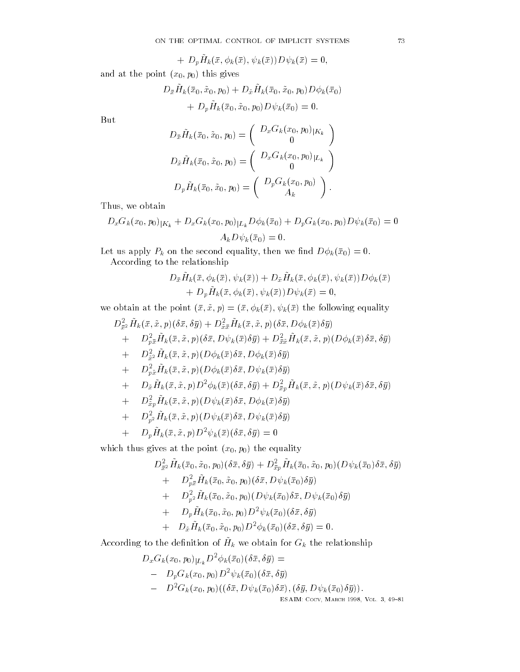$$
~~+~D_p\tilde{H}_k(\bar{x},\phi_k(\bar{x}),\psi_k(\bar{x}))D\psi_k(\bar{x})=0,
$$

and at the point  $\mathcal{O}(I, \mathcal{O})$  , and  $\mathcal{O}(I, \mathcal{O})$  , and  $\mathcal{O}(I, \mathcal{O})$  , and  $\mathcal{O}(I, \mathcal{O})$  , and  $\mathcal{O}(I, \mathcal{O})$  , and  $\mathcal{O}(I, \mathcal{O})$  , and  $\mathcal{O}(I, \mathcal{O})$  , and  $\mathcal{O}(I, \mathcal{O})$  , and  $\mathcal{O}(I, \mathcal{O})$  , a

$$
D_{\bar{x}}\tilde{H}_k(\bar{x}_0, \tilde{x}_0, p_0) + D_{\tilde{x}}\tilde{H}_k(\bar{x}_0, \tilde{x}_0, p_0)D\phi_k(\bar{x}_0) + D_p\tilde{H}_k(\bar{x}_0, \tilde{x}_0, p_0)D\psi_k(\bar{x}_0) = 0.
$$

But

$$
D_{\bar{x}}\tilde{H}_k(\bar{x}_0, \tilde{x}_0, p_0) = \begin{pmatrix} D_x G_k(x_0, p_0)_{|K_k} \\ 0 \end{pmatrix}
$$
  
\n
$$
D_{\tilde{x}}\tilde{H}_k(\bar{x}_0, \tilde{x}_0, p_0) = \begin{pmatrix} D_x G_k(x_0, p_0)_{|L_k} \\ 0 \end{pmatrix}
$$
  
\n
$$
D_p \tilde{H}_k(\bar{x}_0, \tilde{x}_0, p_0) = \begin{pmatrix} D_p G_k(x_0, p_0) \\ A_k \end{pmatrix}.
$$

Thus we obtain the contract of the contract of the contract of the contract of the contract of the contract of

$$
D_x G_k(x_0, p_0)_{|K_k} + D_x G_k(x_0, p_0)_{|L_k} D\phi_k(\bar{x}_0) + D_p G_k(x_0, p_0) D\psi_k(\bar{x}_0) = 0
$$
  

$$
A_k D\psi_k(\bar{x}_0) = 0.
$$

Let us apply Pk on the second equality then we nd Dkx- According to the relationship

$$
D_{\bar{x}}\tilde{H}_k(\bar{x},\phi_k(\bar{x}),\psi_k(\bar{x}))+D_{\tilde{x}}\tilde{H}_k(\bar{x},\phi_k(\bar{x}),\psi_k(\bar{x}))D\phi_k(\bar{x})+D_{p}\tilde{H}_k(\bar{x},\phi_k(\bar{x}),\psi_k(\bar{x}))D\psi_k(\bar{x})=0,
$$

we obtain at the point x- x- p x- kx- kx the following equality  $D_{\bar{x}^2}H_k(x,x,p)(ox,oy) + D_{\tilde{x}\bar{x}}H_k(x,x,p)(ox, D\phi_k(x)oy)$ 

+ 
$$
D_{p\bar{x}}^2 \tilde{H}_k(\bar{x}, \tilde{x}, p)(\delta \bar{x}, D\psi_k(\bar{x})\delta \bar{y}) + D_{\bar{x}\bar{x}}^2 \tilde{H}_k(\bar{x}, \tilde{x}, p)(D\phi_k(\bar{x})\delta \bar{x}, \delta \bar{y})
$$
  
+  $D_{\tilde{x}}^2 2 \tilde{H}_k(\bar{x}, \tilde{x}, p)(D\phi_k(\bar{x})\delta \bar{x}, D\phi_k(\bar{x})\delta \bar{y})$   
+  $D_{p\bar{x}}^2 \tilde{H}_k(\bar{x}, \tilde{x}, p)(D\phi_k(\bar{x})\delta \bar{x}, D\psi_k(\bar{x})\delta \bar{y})$   
+  $D_{\tilde{x}} \tilde{H}_k(\bar{x}, \tilde{x}, p)D^2\phi_k(\bar{x})(\delta \bar{x}, \delta \bar{y}) + D_{\bar{x}p}^2 \tilde{H}_k(\bar{x}, \tilde{x}, p)(D\psi_k(\bar{x})\delta \bar{x}, \delta \bar{y})$ 

$$
\quad+\quad D^2_{\tilde{x}p}\tilde{H}_k(\bar{x},\tilde{x},p)(D\psi_k(\bar{x})\delta \bar{x},D\phi_k(\bar{x})\delta \bar{y})
$$

$$
\quad+\quad D^2_{p^2} \tilde{H}_k(\bar{x},\tilde{x},p) (D \psi_k(\bar{x}) \delta \bar{x}, D \psi_k(\bar{x}) \delta \bar{y})
$$

$$
+ \quad D_p \tilde{H}_k(\bar{x},\tilde{x},p) D^2 \psi_k(\bar{x}) (\delta \bar{x},\delta \bar{y}) = 0
$$

 $\Omega$  the point  $\mathbb{R}^n$  at the point  $\mathbb{R}^n$ 

$$
D_{\bar{x}2}^{2} \tilde{H}_{k}(\bar{x}_{0}, \tilde{x}_{0}, p_{0})(\delta \bar{x}, \delta \bar{y}) + D_{\bar{x}p}^{2} \tilde{H}_{k}(\bar{x}_{0}, \tilde{x}_{0}, p_{0})(D\psi_{k}(\bar{x}_{0})\delta \bar{x}, \delta \bar{y})
$$
  
+ 
$$
D_{p\bar{x}}^{2} \tilde{H}_{k}(\bar{x}_{0}, \tilde{x}_{0}, p_{0})(\delta \bar{x}, D\psi_{k}(\bar{x}_{0})\delta \bar{y})
$$
  
+ 
$$
D_{p}^{2} \tilde{H}_{k}(\bar{x}_{0}, \tilde{x}_{0}, p_{0})(D\psi_{k}(\bar{x}_{0})\delta \bar{x}, D\psi_{k}(\bar{x}_{0})\delta \bar{y})
$$
  
+ 
$$
D_{p} \tilde{H}_{k}(\bar{x}_{0}, \tilde{x}_{0}, p_{0}) D^{2} \psi_{k}(\bar{x}_{0})(\delta \bar{x}, \delta \bar{y})
$$
  
+ 
$$
D_{\tilde{x}} \tilde{H}_{k}(\bar{x}_{0}, \tilde{x}_{0}, p_{0}) D^{2} \phi_{k}(\bar{x}_{0})(\delta \bar{x}, \delta \bar{y}) = 0.
$$

According to the denition of  $H_k$  we obtain for  $G_k$  the relationship

$$
D_x G_k(x_0, p_0)_{|L_k} D^2 \phi_k(\bar{x}_0) (\delta \bar{x}, \delta \bar{y}) =
$$
  
\n
$$
- D_p G_k(x_0, p_0) D^2 \psi_k(\bar{x}_0) (\delta \bar{x}, \delta \bar{y})
$$
  
\n
$$
- D^2 G_k(x_0, p_0) ((\delta \bar{x}, D\psi_k(\bar{x}_0) \delta \bar{x}), (\delta \bar{y}, D\psi_k(\bar{x}_0) \delta \bar{y})).
$$
  
\nESAIN: CoCV, MARCH 1998, Vol. 3, 49-81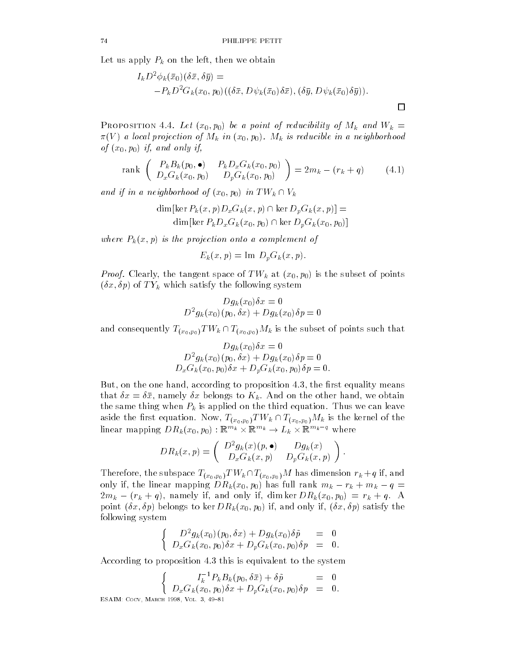Let us apply Pk on the left then we obtain

$$
I_k D^2 \phi_k(\bar{x}_0) (\delta \bar{x}, \delta \bar{y}) = -P_k D^2 G_k(x_0, p_0) ((\delta \bar{x}, D\psi_k(\bar{x}_0) \delta \bar{x}), (\delta \bar{y}, D\psi_k(\bar{x}_0) \delta \bar{y})).
$$

 $\Box$ 

 $\mathbf{P}$  is a proposition in the  $\mathbf{P}$  -  $\mathbf{P}$  and  $\mathbf{P}$  and  $\mathbf{P}$  and  $\mathbf{P}$  and  $\mathbf{P}$  and  $\mathbf{P}$  and  $\mathbf{P}$  and  $\mathbf{P}$  and  $\mathbf{P}$  and  $\mathbf{P}$  and  $\mathbf{P}$  and  $\mathbf{P}$  and  $\mathbf{P}$  and  $\mathbf{P}$  $\mathcal{N}$  is a neighborhood of Mk in a neighborhood in a neighborhood in a neighborhood in a neighborhood in a neighborhood in a neighborhood in a neighborhood in a new media in a new media in a new media in a new media in  $J \setminus \cup_{I} \cup_{I} \cup \ldots \cup \cup_{J} J$ 

rank 
$$
\begin{pmatrix} P_k B_k(p_0, \bullet) & P_k D_x G_k(x_0, p_0) \ D_x G_k(x_0, p_0) & D_p G_k(x_0, p_0) \end{pmatrix} = 2m_k - (r_k + q)
$$
 (4.1)

and if in a neighborhood of  $(x_0, p_0)$  in  $TW_k \cap V_k$ 

$$
\dim[\ker P_k(x, p)D_xG_k(x, p) \cap \ker D_pG_k(x, p)] =
$$
  

$$
\dim[\ker P_kD_xG_k(x_0, p_0) \cap \ker D_pG_k(x_0, p_0)]
$$

where Party is the projection of the projection of the projection of the projection of the projection of the p

$$
E_k(x,p) = \text{Im } D_p G_k(x,p).
$$

- is the tangent space of the tangent space of the subset of points and the subset of points and the subset of x- p of T Yk which satisfy the following system

$$
Dg_k(x_0)\delta x=0\\ D^2g_k(x_0)(p_0,\delta x)+Dg_k(x_0)\delta p=0
$$

and consequently  $T_{(x_0,p_0)}TW_k \cap T_{(x_0,p_0)}M_k$  is the subset of points such that

$$
Dg_k(x_0)\delta x = 0
$$
  

$$
D^2g_k(x_0)(p_0, \delta x) + Dg_k(x_0)\delta p = 0
$$
  

$$
D_xG_k(x_0, p_0)\delta x + D_vG_k(x_0, p_0)\delta p = 0.
$$

active that the room of the rating to proposition and the means of means  $\mu$ that  $\mathbf x$  belongs to  $\mathbf x$  and  $\mathbf x$  and  $\mathbf x$  and  $\mathbf x$  and  $\mathbf x$  and  $\mathbf x$  and  $\mathbf x$  and  $\mathbf x$  and  $\mathbf x$  and  $\mathbf x$  and  $\mathbf x$  and  $\mathbf x$  and  $\mathbf x$  and  $\mathbf x$  and  $\mathbf x$  and  $\mathbf x$  and  $\mathbf x$  and  $\mathbf x$  and the same thing when  $P_k$  is applied on the third equation. Thus we can leave aside the first equation. Now,  $T_{(x_0,p_0)}TW_k \cap T_{(x_0,p_0)}M_k$  is the kernel of the linear mapping  $DR_k(x_0, p_0): \mathbb{R}^{m_k} \times \mathbb{R}^{m_k} \rightarrow L_k \times \mathbb{R}^{m_k-q}$  where

$$
DR_k(x,p) = \begin{pmatrix} D^2g_k(x)(p,\bullet) & Dg_k(x) \\ D_xG_k(x,p) & D_pG_k(x,p) \end{pmatrix}.
$$

Therefore, the subspace  $T_{(x_0,p_0)}TW_k\cap T_{(x_0,p_0)}M$  has dimension  $r_k+q$  if, and only if, the linear mapping  $DR_k(x_0, p_0)$  has full rank  $m_k - r_k + m_k - q =$  $2m_k - (r_k + q)$ , namely if, and only if, dim ker  $DR_k(x_0, p_0) = r_k + q$ . A produced to a belongs to the same of the same of the same of the same of the same of the same of the same of t following system

$$
\begin{cases}\nD^2 g_k(x_0)(p_0, \delta x) + D g_k(x_0) \delta \tilde{p} = 0 \\
D_x G_k(x_0, p_0) \delta x + D_p G_k(x_0, p_0) \delta p = 0.\n\end{cases}
$$

According to proposition 4.3 this is equivalent to the system

$$
\begin{cases}\nI_k^{-1} P_k B_k(p_0, \delta \bar{x}) + \delta \tilde{p} = 0 \\
D_x G_k(x_0, p_0) \delta x + D_p G_k(x_0, p_0) \delta p = 0.\n\end{cases}
$$

————————————————————————————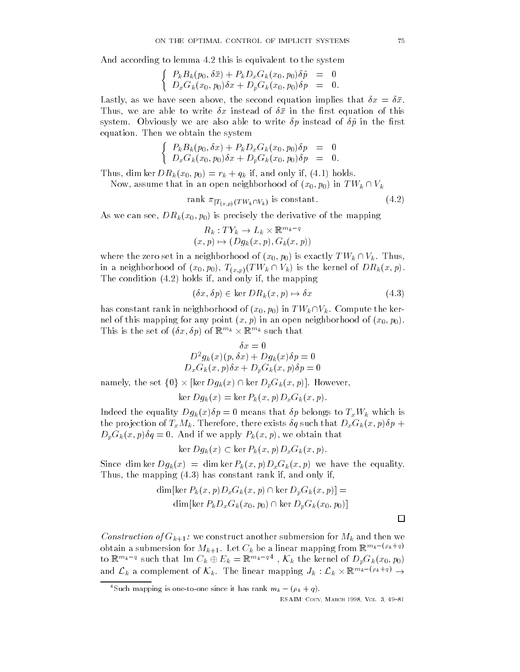$\mathbf{A}$  this is equivalent to this is equivalent to this is equivalent to this is equivalent to the system of  $\mathbf{A}$ 

$$
\begin{cases}\nP_k B_k(p_0, \delta \bar{x}) + P_k D_x G_k(x_0, p_0) \delta \tilde{p} = 0 \\
D_x G_k(x_0, p_0) \delta x + D_p G_k(x_0, p_0) \delta p = 0.\n\end{cases}
$$

Lastly as we have seen above the second equation implies that x x Thus we are able to write x instead of x instead of x instead of x instead of x in the rst equation of this contribution of the rst equation of the rst equation of the rst equation of the rst equation of the rst equation o system. Obviously we are also able to write  $\delta p$  instead of  $\delta \tilde{p}$  in the first equation. Then we obtain the system

$$
\begin{cases}\nP_k B_k(p_0, \delta x) + P_k D_x G_k(x_0, p_0) \delta p = 0 \\
D_x G_k(x_0, p_0) \delta x + D_p G_k(x_0, p_0) \delta p = 0.\n\end{cases}
$$

i dim ker dim ker dim ker di sebagai di menjadi bagian di sebagai bagian di sebagai bagian di sebagai bagian d

Now, assume that in an open neighborhood of  $(x_0,p_0)$  in  $TW_k \cap V_k$ 

rank  $\pi_{|T_{(x,p)}(TW_k\cap V_k)}$  is constant. (4.2)

- as we can see the mapping of the mapping of the mapping of the mapping of the mapping of the mapping of the m

$$
R_k: TY_k \to L_k \times \mathbb{R}^{m_k - q}
$$
  
(x, p)  $\mapsto (Dg_k(x, p), G_k(x, p))$ 

where the zero set in a neighborhood of  $(x_0,p_0)$  is exactly  $TW_k \cap V_k$ . Thus, in a neighborhood of  $(x_0, p_0), T_{(x,p)}(TW_k \cap V_k)$  is the kernel of  $DR_k(x,p)$ . The condition is a set of the map in the map is a set of the map in the map is a set of the map in the map is  $\mathbf{r}$ 

$$
(\delta x, \delta p) \in \ker DR_k(x, p) \mapsto \delta x \tag{4.3}
$$

has constant rank in neighborhood of  $(x_0, p_0)$  in  $TW_k \cap V_k$ . Compute the ker-- produced any point  $\alpha$ -for any point  $\alpha$ -formation  $\alpha$ This is the set of  $(\delta x, \delta p)$  of  $\mathbb{R}^{m_k} \times \mathbb{R}^{m_k}$  such that

$$
\delta x = 0
$$
  

$$
D^2 g_k(x)(p, \delta x) + D g_k(x)\delta p = 0
$$
  

$$
D_x G_k(x, p)\delta x + D_y G_k(x, p)\delta p = 0
$$

 $D^-g_k(x)(p,\sigma x)+Dg_k(x)\sigma p=0 \ D_xG_k(x,p)\delta x+D_pG_k(x,p)\delta p=0$ namely, the set  $\{0\}\times[\ker Dg_k(x)\cap\ker D_pG_k(x,p)].$  However,

$$
\ker Dg_k(x) = \ker P_k(x, p) D_x G_k(x, p).
$$

Indeed the equality  $Dg_k(x)\delta p = 0$  means that  $\delta p$  belongs to  $T_xW_k$  which is the problem of TxM and the problem of TxM and the problem of TxM and the Paris of TxM and that DxGk x-such that DxGk x-such that DxGk x-such that DxGk x-such that DxGk x-such that DxGk x-such that DxGk x-such that DxGk x-s p-printed that we apply that the second contract we apply that the second contract of the second contract of the second contract of the second contract of the second contract of the second contract of the second contract o

$$
\ker Dg_k(x) \subset \ker P_k(x, p) D_x G_k(x, p).
$$

 $\mathcal{S}$  and the equality of the equality of the equality of the equality of the equality of the equality of the equality of the equality of the equality of the equality of the equality of the equality of the equality of Thus the mapping of the mapping of the mapping of the mapping of the mapping of the mapping of the mapping of the mapping of the mapping of the mapping of the mapping of the mapping of the mapping of the mapping of the map

$$
\dim\left[\ker P_k(x,p)D_xG_k(x,p)\cap\ker D_pG_k(x,p)\right]=\n\dim\left[\ker P_kD_xG_k(x_0,p_0)\cap\ker D_pG_k(x_0,p_0)\right]
$$

Construction of  $G_{k+1}$ : we construct another submersion for  $M_k$  and then we obtain a submersion for  $M_{k+1}$ . Let  $C_k$  be a linear mapping from  $\mathbb{K}^{m_k - (\nu_k + \tau_q)}$ to  $\mathbb{R}^{m_k-q}$  such that Im  $C_k\oplus E_k=\mathbb{R}^{m_k-q\,4}$  ,  $\mathcal{K}_k$  the kernel of  $D_pG_k(x_0,p_0)$ and  $\mathcal{L}_k$  a complement of  $\mathcal{K}_k$ . The linear mapping  $J_k$  :  $\mathcal{L}_k \times \mathbb{R}^{m_k - (\rho_k + q)}$   $\rightarrow$ 

<sup>4</sup>Such mapping is one-to-one since it has rank  $m_k - (\rho_k + q)$ .

ESAIM- Cocv March Vol 

□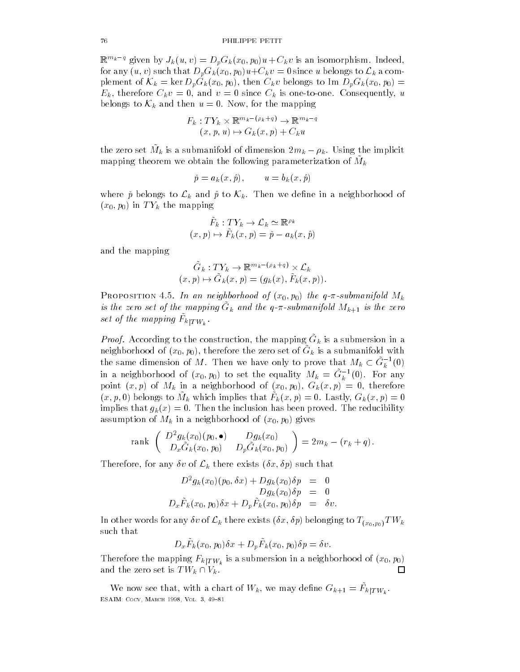$\mathbb{R}^{m_k-q}$  given by  $J_k(u,v) = D_pG_k(x_0,p_0)u + C_k v$  is an isomorphism. Indeed, for any  $(u,v)$  such that  $D_pG_k(x_0,p_0)u+C_kv=0$  since  $u$  belongs to  $\mathcal{L}_k$  a complement of  $\mathcal{K}_k = \ker D_p G_k(x_0, p_0)$ , then  $C_k v$  belongs to Im  $D_p G_k(x_0, p_0) =$ ek is the China consequently consequently and virtually and virtually and virtually and virtually and virtually belongs to  $\mathcal{K}_k$  and then  $u=0$ . Now, for the mapping

$$
F_k: TY_k \times \mathbb{R}^{m_k - (\rho_k + q)} \to \mathbb{R}^{m_k - q}
$$
  
(x, p, u) \to G\_k(x, p) + C\_k u

the zero set  $M_k$  is a submanifold of dimension  $2m_k - \rho_k$ . Using the implicit mapping theorem we obtain the following parameterization of  $M_k$ 

$$
\check{p} = a_k(x, \hat{p}), \qquad u = b_k(x, \hat{p})
$$

where  $\check{p}$  belongs to  $\mathcal{L}_k$  and  $\hat{p}$  to  $\mathcal{K}_k$ . Then we define in a neighborhood of  $(x_0, p_0)$  in  $TY_k$  the mapping  $\tilde{F}_k: TY_k \to \mathcal{L}_k \simeq \mathbb{R}^{\rho_k}$  $\begin{array}{ccc} \ddots & \ddots & \ddots \end{array}$  in The mapping in the mapping in the mapping in the mapping in the mapping in the map is the map in the mapping in the mapp in the mapping in the mapp in the mapp in the mapp in the mapp in the m

$$
\tilde{F}_k: TY_k \to \mathcal{L}_k \simeq \mathbb{R}^{\rho_k}
$$

$$
(x, p) \mapsto \tilde{F}_k(x, p) = \tilde{p} - a_k(x, \hat{p})
$$

and the mapping

$$
\tilde{G}_k: TY_k \to \mathbb{R}^{m_k - (\rho_k + q)} \times \mathcal{L}_k
$$
  
(x, p)  $\mapsto \tilde{G}_k(x, p) = (g_k(x), \tilde{F}_k(x, p)).$ 

 $\mathcal{I}$  is an influence of  $\mathcal{I}$  (which in a commuting  $\mathcal{I}$ is the zero set of the mapping  $G_k$  and the q-k-submanifold  $m_{k+1}$  is the zero set of the mapping  $r_{k}|_{TW_{k}}$ .

*t* roof. According to the construction, the mapping  $G_k$  is a submersion in a  $x$  is a submanifold with  $x_0, y_0$ , therefore the zero set of  $G_k$  is a submanifold with the same dimension of M. Then we have only to prove that  $M_k \subset G_k^{-1}(0)$ in a neighborhood of  $(x_0, p_0)$  to set the equality  $M_k = G_k^{-1}(0)$ . For any point a new management of the management of the state of the state of the state of the state of the state of t  $(x, p, \sigma)$  belongs to  $m_k$  which implies that  $F_k(x, p) = 0$ . Eastly,  $G_k(x, p) = 0$ implies that  $g_k(x) = 0$ . Then the inclusion has been proved. The reducibility - p- () and the matrix of Matrix of Matrix of the Matrix of the Matrix of the Matrix of the Matrix of the Matrix of the Matrix of the Matrix of the Matrix of the Matrix of the Matrix of the Matrix of the Matrix of the Matr

rank 
$$
\begin{pmatrix} D^2 g_k(x_0)(p_0, \bullet) & Dg_k(x_0) \\ D_x \tilde{G}_k(x_0, p_0) & D_p \tilde{G}_k(x_0, p_0) \end{pmatrix} = 2m_k - (r_k + q).
$$

Therefore, for any  $\delta v$  of  $\mathcal{L}_k$  there exists  $(\delta x,\delta p)$  such that

$$
D^2 g_k(x_0)(p_0, \delta x) + D g_k(x_0) \delta p = 0
$$
  
\n
$$
D g_k(x_0) \delta p = 0
$$
  
\n
$$
D_x \tilde{F}_k(x_0, p_0) \delta x + D_p \tilde{F}_k(x_0, p_0) \delta p = \delta v.
$$

In other words for any  $\delta v$  of  $\mathcal{L}_k$  there exists  $(\delta x, \delta p)$  belonging to  $T_{(x_0,p_0)}TW_k$ such that

 $D_x F_k(x_0, p_0) dx + D_p F_k(x_0, p_0) dp = 00.$ 

Therefore the mapping  $F_k|_{TW_k}$  is a submersion in a neighborhood of  $(x_0, p_0)$ and the zero set is  $TW_k \cap V_k$ .

We now see that, with a chart of  $W_k$ , we may denne  $G_{k+1} = F_k|TW_k$ . ————————————————————————————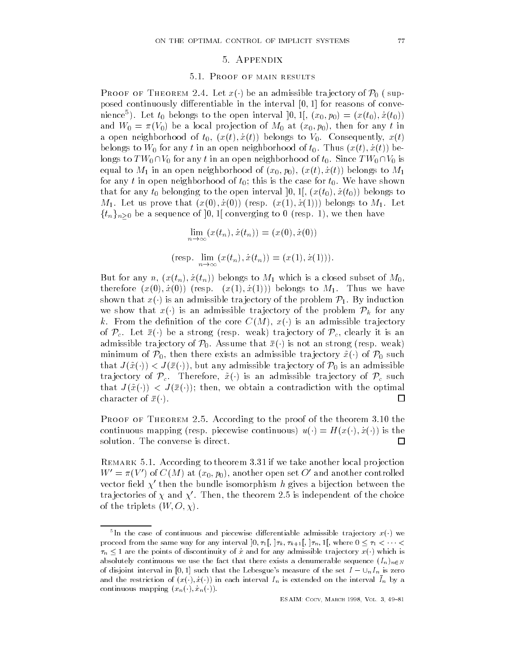#### 5. APPENDIX

#### Proof of main results

PROOF OF THEOREM 2.4. Let  $x(\cdot)$  be an admissible trajectory of  $\mathcal{P}_0$  (supposed continuously di-erentiable in the interval - for reasons of conve mence ). Let  $\iota_0$  belongs to the open interval  $[0,1], (x_0,p_0) = (x(\iota_0),x(\iota_0))$ and we are the property of M-straight and the proof of M-straight and the proof of the most of the most of the a open neighborhood of t- xt- x t belongs to V- Consequently xt belongs to which is a constant of the top of the top of the top of the top of the top of the top of the top of longs to  $TW_0 \cap V_0$  for any  $t$  in an open neighborhood of  $t_0.$  Since  $TW_0 \cap V_0$  is equal to M in an open neighborhood of x-- p- xt- x t belongs to M  $\mathcal{N}$  is the case for the case for the case for the case for the case for the case for the case for the case for the case of the case for the case of the case of the case of the case of the case of the case of the case  $\mathbf{u} = \mathbf{v}$  belonging to the open interval  $\mathbf{v} = \mathbf{v}$  $\blacksquare$  . The matrix to  $\blacksquare$  and  $\blacksquare$  and  $\blacksquare$  and  $\blacksquare$  and  $\blacksquare$  and  $\blacksquare$  and  $\blacksquare$  and  $\blacksquare$  and  $\blacksquare$  $\{t_n\}_{n\geq 0}$  be a sequence of ]0, 1[ converging to 0 (resp. 1), we then have

$$
\lim_{n \to \infty} (x(t_n), \dot{x}(t_n)) = (x(0), \dot{x}(0))
$$
  
(resp. 
$$
\lim_{n \to \infty} (x(t_n), \dot{x}(t_n)) = (x(1), \dot{x}(1))).
$$

 $\mathbf{y} = \mathbf{y} + \mathbf{y} + \mathbf{y} + \mathbf{y} + \mathbf{y} + \mathbf{y} + \mathbf{y} + \mathbf{y} + \mathbf{y} + \mathbf{y} + \mathbf{y} + \mathbf{y} + \mathbf{y} + \mathbf{y} + \mathbf{y} + \mathbf{y} + \mathbf{y} + \mathbf{y} + \mathbf{y} + \mathbf{y} + \mathbf{y} + \mathbf{y} + \mathbf{y} + \mathbf{y} + \mathbf{y} + \mathbf{y} + \mathbf{y} + \mathbf{y} + \mathbf{y} + \mathbf{y} + \mathbf$ therefore  $\mathbf{v} = \mathbf{v} + \mathbf{v} + \mathbf{v} + \mathbf{v} + \mathbf{v} + \mathbf{v} + \mathbf{v} + \mathbf{v} + \mathbf{v} + \mathbf{v} + \mathbf{v} + \mathbf{v} + \mathbf{v} + \mathbf{v} + \mathbf{v} + \mathbf{v} + \mathbf{v} + \mathbf{v} + \mathbf{v} + \mathbf{v} + \mathbf{v} + \mathbf{v} + \mathbf{v} + \mathbf{v} + \mathbf{v} + \mathbf{v} + \mathbf{v} + \mathbf{v} + \mathbf{v} +$ shown that  $x(\cdot)$  is an admissible trajectory of the problem  $\mathcal{P}_1$ . By induction we show that  $x(\cdot)$  is an admissible trajectory of the problem  $\mathcal{P}_k$  for any k. From the definition of the core  $C(M), x()$  is an admissible trajectory of  $\mathcal{P}_c$ . Let  $\bar{x}(\cdot)$  be a strong (resp. weak) trajectory of  $\mathcal{P}_c$ , clearly it is an admissible trajectory of  $\mathcal{P}_0$ . Assume that  $\bar{x}(\cdot)$  is not an strong (resp. weak) minimum of  $\mathcal{P}_0,$  then there exists an admissible trajectory  $\tilde{x}(\cdot)$  of  $\mathcal{P}_0$  such that  $J(\tilde{x}(\cdot)) < J(\bar{x}(\cdot))$ , but any admissible trajectory of  $\mathcal{P}_0$  is an admissible trajectory of  $\mathcal{P}_c$ . Therefore,  $\tilde{x}(\cdot)$  is an admissible trajectory of  $\mathcal{P}_c$  such that  $J(\tilde{x}(\cdot)) < J(\bar{x}(\cdot))$ ; then, we obtain a contradiction with the optimal character of  $\bar{x}(\cdot)$ . □

 $\Gamma$  roof of Theorem  $\mathbb{Z}$ . According to the proof of the theorem  $\mathfrak{d}$ . To the continuous mapping (resp. piecewise continuous)  $u(\cdot) = H(x(\cdot), \dot{x}(\cdot))$  is the solution. The converse is direct. 囗

remark over recording to theorem old rate take another rocal projection  $W' = \pi(V')$  of  $C(M)$  at  $(x_0, p_0)$ , another open set  $O'$  and another controlled vector field  $\chi'$  then the bundle isomorphism h gives a bijection between the trajectories of  $\chi$  and  $\chi'$ . Then, the theorem 2.5 is independent of the choice of the triplets we have a set of the triplet of the triplet of the triplet of the triplet of the triplet of th

In the case of continuous and piecewise differentiable admissible trajectory  $x(\cdot)$  we proceed from the same way for any interval  $\vert v_1, v_1 \vert$  ,  $\vert v_h \vert$  ,  $\vert v_h \vert$  ,  $\vert v_h \vert$  ,  $\vert v_h \vert$  ,  $\vert v_h \vert$  ,  $\vert v_h \vert$  ,  $\vert v_h \vert$  ,  $\vert v_h \vert$  $\tau_n \leq 1$  are the points of discontinuity of x and for any admissible trajectory  $x(\cdot)$  which is absolutely continuous we use that that that there exists a distinctive sequence  $\mathcal{L}_{\mathbf{u}}(\mathbf{v})$ of disjoint interval in  $\left[0,1\right]$  such that the Bestesgues measure of the set  $I = \cup_{n=0}^{n}$  is zero and the restriction of  $(x(\cdot), x(\cdot))$  in each interval  $T_n$  is extended on the interval  $T_n$  by a continuous mapping xn- x n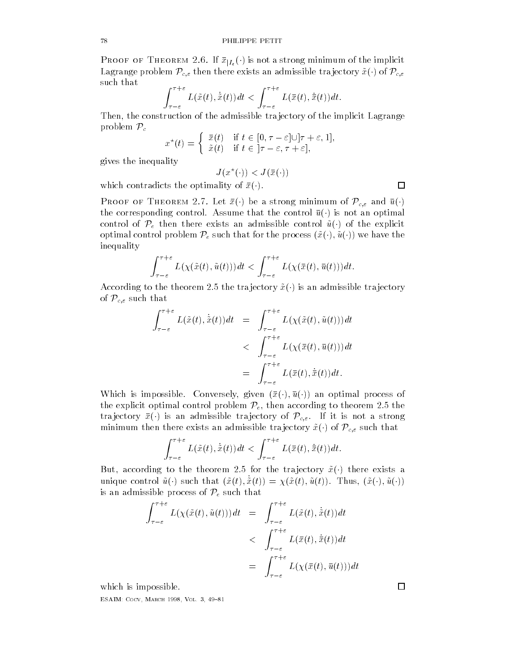PROOF OF THEOREM 2.6. If  $\bar{x}_{|I_{\varepsilon}}(\cdot)$  is not a strong minimum of the implicit Lagrange problem  $\mathcal{P}_{c,\varepsilon}$  then there exists an admissible trajectory  $\tilde{x}(\cdot)$  of  $\mathcal{P}_{c,\varepsilon}$ such that

$$
\int_{\tau-\varepsilon}^{\tau+\varepsilon} L(\tilde{x}(t), \dot{\tilde{x}}(t)) dt < \int_{\tau-\varepsilon}^{\tau+\varepsilon} L(\bar{x}(t), \dot{\bar{x}}(t)) dt.
$$

Then the construction of the admissible tra jectory of the implicit Lagrange problem  $\mathcal{P}_c$ 

$$
x^*(t) = \begin{cases} \bar{x}(t) & \text{if } t \in [0, \tau - \varepsilon] \cup [\tau + \varepsilon, 1], \\ \tilde{x}(t) & \text{if } t \in [\tau - \varepsilon, \tau + \varepsilon], \end{cases}
$$

gives the inequality

$$
J(x^\star(\cdot)) < J(\bar{x}(\cdot))
$$

which contradicts the optimality of  $\bar{x}(\cdot)$ .

**PROOF OF THEOREM 2.7.** Let  $\bar{x}(\cdot)$  be a strong minimum of  $\mathcal{P}_{c,\varepsilon}$  and  $\bar{u}(\cdot)$ the corresponding control. Assume that the control  $\bar{u}(\cdot)$  is not an optimal control of  $\mathcal{P}_e$  then there exists an admissible control  $\tilde{u}(\cdot)$  of the explicit optimal control problem  $\mathcal{P}_e$  such that for the process  $(\tilde{x}(\cdot),\tilde{u}(\cdot))$  we have the inequality

$$
\int_{\tau-\varepsilon}^{\tau+\varepsilon} L(\chi(\tilde{x}(t),\tilde{u}(t)))dt < \int_{\tau-\varepsilon}^{\tau+\varepsilon} L(\chi(\bar{x}(t),\bar{u}(t)))dt.
$$

According to the theorem 2.5 the trajectory  $\tilde{x}(\cdot)$  is an admissible trajectory of  $\mathcal{P}_{c,\varepsilon}$  such that

$$
\int_{\tau-\varepsilon}^{\tau+\varepsilon} L(\tilde{x}(t), \dot{\tilde{x}}(t)) dt = \int_{\tau-\varepsilon}^{\tau+\varepsilon} L(\chi(\tilde{x}(t), \tilde{u}(t))) dt
$$
  

$$
< \int_{\tau-\varepsilon}^{\tau+\varepsilon} L(\chi(\bar{x}(t), \bar{u}(t))) dt
$$
  

$$
= \int_{\tau-\varepsilon}^{\tau+\varepsilon} L(\bar{x}(t), \dot{\bar{x}}(t)) dt.
$$

Which is impossible. Conversely, given  $(\bar{x}(\cdot), \bar{u}(\cdot))$  an optimal process of the explicit optimal control problem  $\mathcal{P}_e$ , then according to theorem 2.5 the trajectory  $\bar{x}(\cdot)$  is an admissible trajectory of  $\mathcal{P}_{c,\varepsilon}$ . If it is not a strong minimum then there exists an admissible trajectory  $\tilde{x}(\cdot)$  of  $\mathcal{P}_{c,\varepsilon}$  such that

$$
\int_{\tau-\varepsilon}^{\tau+\varepsilon} L(\tilde{x}(t),\dot{\tilde{x}}(t))dt < \int_{\tau-\varepsilon}^{\tau+\varepsilon} L(\bar{x}(t),\dot{\bar{x}}(t))dt.
$$

But, according to the theorem 2.5 for the trajectory  $\tilde{x}(\cdot)$  there exists a unique control  $\tilde{u}(\cdot)$  such that  $(\tilde{x}(t), \tilde{x}(t)) = \chi(\tilde{x}(t), \tilde{u}(t))$ . Thus,  $(\tilde{x}(\cdot), \tilde{u}(\cdot))$ is an admissible process of  $\mathcal{P}_e$  such that

$$
\int_{\tau-\varepsilon}^{\tau+\varepsilon} L(\chi(\tilde{x}(t),\tilde{u}(t)))dt = \int_{\tau-\varepsilon}^{\tau+\varepsilon} L(\tilde{x}(t),\dot{\tilde{x}}(t))dt
$$
  

$$
< \int_{\tau-\varepsilon}^{\tau+\varepsilon} L(\bar{x}(t),\dot{\bar{x}}(t))dt
$$
  

$$
= \int_{\tau-\varepsilon}^{\tau+\varepsilon} L(\chi(\bar{x}(t),\bar{u}(t)))dt
$$

which is impossible.

————————————————————————————

 $\Box$ 

 $\Box$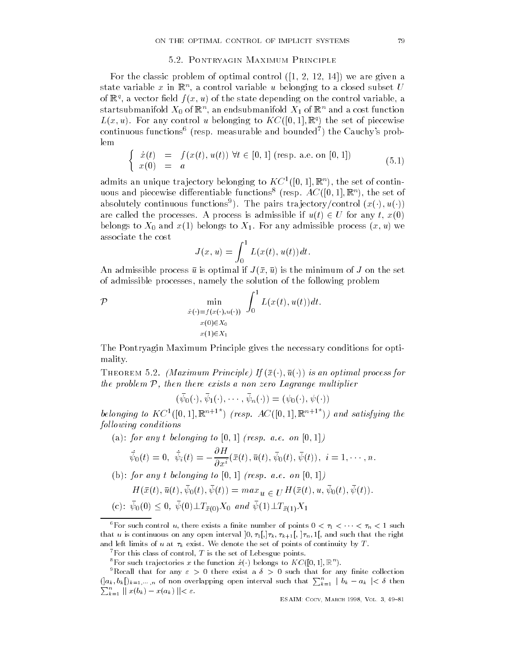### Pontryagin Maximum Principle

 $\mathbf{r}$  the control of optimal control  $\mathbf{r}$  are given at  $\mathbf{r}$  and  $\mathbf{r}$  are given at  $\mathbf{r}$ state variable  $x$  in  $\mathbb{R}$  , a control variable  $u$  belonging to a closed subset  $U$ of  $\mathbb{R}^n$ , a vector held  $f(x, u)$  of the state depending on the control variable, a startsubmannold  $\Lambda_0$  of  $\mathbb{R}^n,$  an endsubmanifold  $\Lambda_1$  of  $\mathbb{R}^n$  and a cost function  $L(x, u)$ . For any control  $u$  belonging to  $K \cup \{0, 1\}$ ,  $\mathbb{R}^2$  the set of piecewise continuous functions—tresp. Ineasurable and bounded ) the Cauchy's problem

$$
\begin{cases}\n\dot{x}(t) = f(x(t), u(t)) \,\forall t \in [0, 1] \text{ (resp. a.e. on } [0, 1]) \\
x(0) = a\n\end{cases}
$$
\n(5.1)

admits an unique trajectory belonging to  $\Lambda$  C  $\|$  (j),  $\|$ ,  $\mathbb{R}$  ), the set of contin- $\mu$ ous and piecewise differentiable functions (resp.  $A\cup$  ([0, 1],  $\mathbb{R}$  ), the set of absolutely continuous functions<sup>9</sup>). The pairs trajectory/control  $(x(\cdot), u(\cdot))$ are called the processes. A process is admissible if  $u(t) \in U$  for any  $t, x(0)$ belongs to X- and x belongs to X For any admissible process x- u we associate the cost

$$
J(x, u) = \int_0^1 L(x(t), u(t)) dt.
$$

An admissible process u is optimal if Jx- u is the minimum of J on the set of admissible processes namely the solution of the following problem

 $\mathcal{P}$  $x + \mu x + \mu u + \mu$  $x(0) \in X_0$  $x(1) \in X_1$  $\int$ Lxt- utdt

The Pontryagin Maximum Principle gives the necessary conditions for opti mality 

THEOREM 5.2. (Maximum Principle) If  $(\bar{x}(\cdot), \bar{u}(\cdot))$  is an optimal process for the problem  $P$ , then there exists a non zero Lagrange multiplier

 $(\psi_0(\cdot), \psi_1(\cdot), \cdots, \psi_n(\cdot)) = (\psi_0(\cdot), \psi(\cdot))$ 

belonging to  $KC^+(\vert 0, 1\vert, \mathbb{R}^{n+1})$  (resp.  $AC(\vert 0, 1\vert, \mathbb{R}^{n+1})$ ) and satisfying the following conditions

a for any term of the set of the set of the set of the set of the set of the set of the set of the set of the  $\alpha$ 

$$
\dot{\bar{\psi}}_0(t) = 0, \ \dot{\bar{\psi}}_i(t) = -\frac{\partial H}{\partial x^i}(\bar{x}(t), \bar{u}(t), \bar{\psi}_0(t), \bar{\psi}(t)), \ i = 1, \cdots, n.
$$

 $\mathbf{r}$  , and any to the contract of the contract of the contract of the contract of the contract of the contract of the contract of the contract of the contract of the contract of the contract of the contract of the con

$$
H(\bar{x}(t), \bar{u}(t), \bar{\psi}_0(t), \bar{\psi}(t)) = \max_u \underline{u} \in U^H(\bar{x}(t), u, \bar{\psi}_0(t), \bar{\psi}(t)).
$$
  
(c):  $\bar{\psi}_0(0) \le 0, \bar{\psi}(0) \perp T_{\bar{x}(0)} X_0 \text{ and } \bar{\psi}(1) \perp T_{\bar{x}(1)} X_1$ 

For such control u, there exists a nnite number of points  $0 \lt \tau_1 \lt \cdots \lt \tau_n \lt 1$  such  $\alpha$  is continuous on any open interval  $\alpha$ ,  $\alpha$ ,  $\alpha$ ,  $\alpha$ ,  $\alpha$ ,  $\alpha$ ,  $\alpha$ ,  $\alpha$ ,  $\alpha$ ,  $\alpha$ ,  $\alpha$ ,  $\alpha$ ,  $\alpha$ ,  $\alpha$ ,  $\alpha$ ,  $\alpha$ ,  $\alpha$ ,  $\alpha$ ,  $\alpha$ ,  $\alpha$ ,  $\alpha$ ,  $\alpha$ ,  $\alpha$ ,  $\alpha$ ,  $\alpha$ ,  $\alpha$ ,  $\alpha$ ,  $\alpha$ ,  $\alpha$ ,  $\alpha$ , and left limits of u at  $\tau_k$  exist. We denote the set of points of continuity by T.

For this class of control,  $I$  is the set of Lebesgue points.

<sup>-</sup> For such trajectories x the function  $x(\cdot)$  belongs to A  $\cup$  ([0, 1],  $\mathbb{K}^+$ ).

<sup>-</sup>Recall that for any  $\varepsilon > 0$  there exist a  $\delta > 0$  such that for any finite collection  $\left( \vert a_k, b_k \vert \right)_{k=1,\dots,n}$  of non overlapping open interval such that  $\sum_{k=1}^n \vert b_k - a_k \vert < \delta$  then ka kacamatan ing Kabupatèn Kabupatèn Ka  $\sum_{k=1}^n ||x(b_k) - x(a_k)|| < \varepsilon.$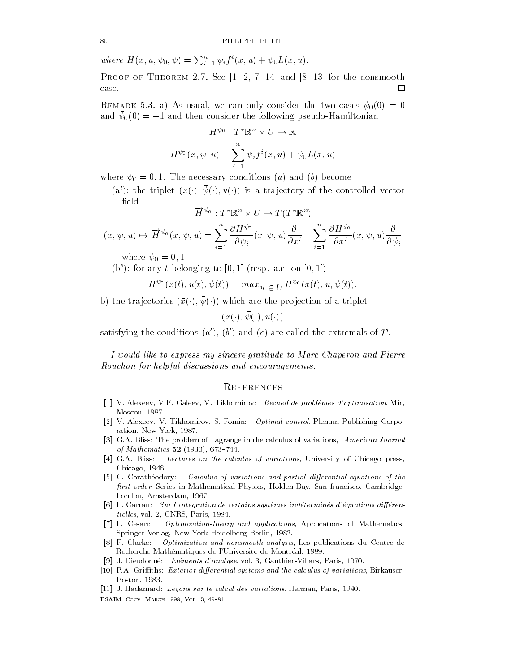where  $H(x, u, \psi_0, \psi) = \sum_{i=1}^n \psi_i f^i(x, u) + \psi_0 L(x, u)$ .

 $\Gamma$  ROOF OF THEOREM 2.1. See [1, 2, 1, 14] and [0, 15] for the nonsmooth □ case.

**Remark 0.0.** a  $A_2$  as usual, we can only consider the two cases  $\varphi_{0}(0) = 0$ and  $\psi_0(0) = -1$  and then consider the following pseudo-Hamiltonian

$$
H^{\psi_0}: T^*\mathbb{R}^n \times U \to \mathbb{R}
$$

$$
H^{\psi_0}(x, \psi, u) = \sum_{i=1}^n \psi_i f^i(x, u) + \psi_0 L(x, u)
$$

where - - The necessary conditions a and b become

(a): the triplet  $(\bar{x}(\cdot), \psi(\cdot), \bar{u}(\cdot))$  is a trajectory of the controlled vector  $_{\rm field}$ 

$$
\overline{H}^{\psi_0}:T^\star\mathbb{R}^n\times U\to T(T^\star\mathbb{R}^n)
$$

$$
(x, \psi, u) \mapsto \overrightarrow{H}^{\psi_0}(x, \psi, u) = \sum_{i=1}^n \frac{\partial H^{\psi_0}}{\partial \psi_i}(x, \psi, u) \frac{\partial}{\partial x^i} - \sum_{i=1}^n \frac{\partial H^{\psi_0}}{\partial x^i}(x, \psi, u) \frac{\partial}{\partial \psi_i}
$$

where - - 

 $\mathbf{r}$  for any the formulation of the formulation of the set of the set of the set of the set of the set of the set of the set of the set of the set of the set of the set of the set of the set of the set of the set of t

$$
H^{\psi_0}(\bar{x}(t),\bar{u}(t),\bar{\psi}(t)) = max_u \in U^{H^{\psi_0}}(\bar{x}(t),u,\bar{\psi}(t)).
$$

b) the trajectories  $(\bar{x}(\cdot), \psi(\cdot))$  which are the projection of a triplet

 $(\bar{x}(\cdot), \psi(\cdot), \bar{u}(\cdot))$ 

satisfying the conditions  $(a')$ ,  $(b')$  and  $(c)$  are called the extremals of P.

I would like to express my sincere gratitude to Marc Chaperon and Pierre Rouchon for helpful discussions and encouragements

## **REFERENCES**

- V Alexeev- VE Galeev- V Tikhomirov Recueil de probl-emes doptimisation- Mir-Moscow and the contract of the contract of the contract of the contract of the contract of the contract of the
- , a forming to minimum at the minimum political control memory corpo ration-between the control of the control of the control of the control of the control of the control of the c
- GA Bliss The problem of Lagrange in the calculus of variations- American Journal of Mathematics - -
- GA Bliss Lectures on the calculus of variations- University of Chicago presschicago-chicago-chicago-chicago-chicago-chicago-chicago-chicago-chicago-chicago-chicago-chicago-chicago-chicago-
- [5] C. Carathéodory: Calculus of variations and partial differential equations of the rst order- Series in Mathematical Physics- HoldenDay- San francisco- Cambridge-London- Amsterdam-
- E Cartan Sur lintegration de certains syst-emes indetermines dequations dieren tiel les- vol - CNRS- Paris-
- L Cesari Optimizationtheory and applications- Applications of Mathematics-Springer verlager in der der den staatstellingen in de staatstellingen verlager in de staatstellingen in de st
- F Clarke Optimization and nonsmooth analysis- Les publications du Centre de Recherche Math
ematiques de lUniversit
e de Montr
eal-
- J Dieudonn
e Elements danalyse- vol GauthierVillars- Paris-
- PA Griths Exterior dierential systems and the calculus of variations- Birkauser-Boston-Boston-Boston-Boston-Boston-Boston-Boston-Boston-Boston-Boston-Boston-Boston-Boston-Boston-Boston-Bosto
- , et als lectors sur lecture in the calcul des variations in the calculation of the surface of the control of

—————————————————————————————